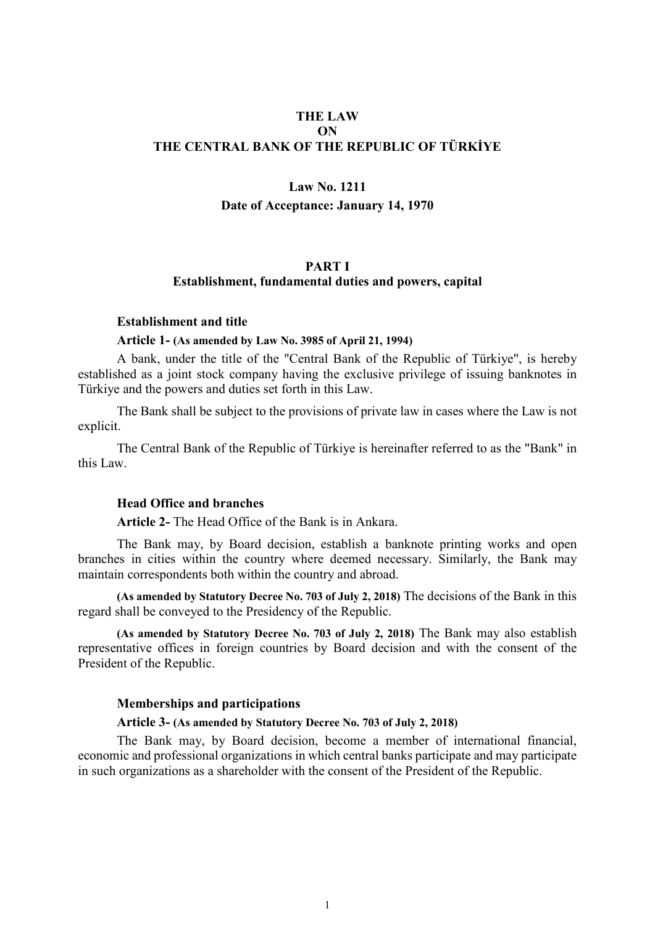## **THE LAW ON THE CENTRAL BANK OF THE REPUBLIC OF TÜRKİYE**

# **Law No. 1211 Date of Acceptance: January 14, 1970**

## **PART I Establishment, fundamental duties and powers, capital**

#### **Establishment and title**

#### **Article 1- (As amended by Law No. 3985 of April 21, 1994)**

A bank, under the title of the "Central Bank of the Republic of Türkiye", is hereby established as a joint stock company having the exclusive privilege of issuing banknotes in Türkiye and the powers and duties set forth in this Law.

The Bank shall be subject to the provisions of private law in cases where the Law is not explicit.

The Central Bank of the Republic of Türkiye is hereinafter referred to as the "Bank" in this Law.

## **Head Office and branches**

**Article 2-** The Head Office of the Bank is in Ankara.

The Bank may, by Board decision, establish a banknote printing works and open branches in cities within the country where deemed necessary. Similarly, the Bank may maintain correspondents both within the country and abroad.

**(As amended by Statutory Decree No. 703 of July 2, 2018)** The decisions of the Bank in this regard shall be conveyed to the Presidency of the Republic.

**(As amended by Statutory Decree No. 703 of July 2, 2018)** The Bank may also establish representative offices in foreign countries by Board decision and with the consent of the President of the Republic.

### **Memberships and participations**

#### **Article 3- (As amended by Statutory Decree No. 703 of July 2, 2018)**

The Bank may, by Board decision, become a member of international financial, economic and professional organizations in which central banks participate and may participate in such organizations as a shareholder with the consent of the President of the Republic.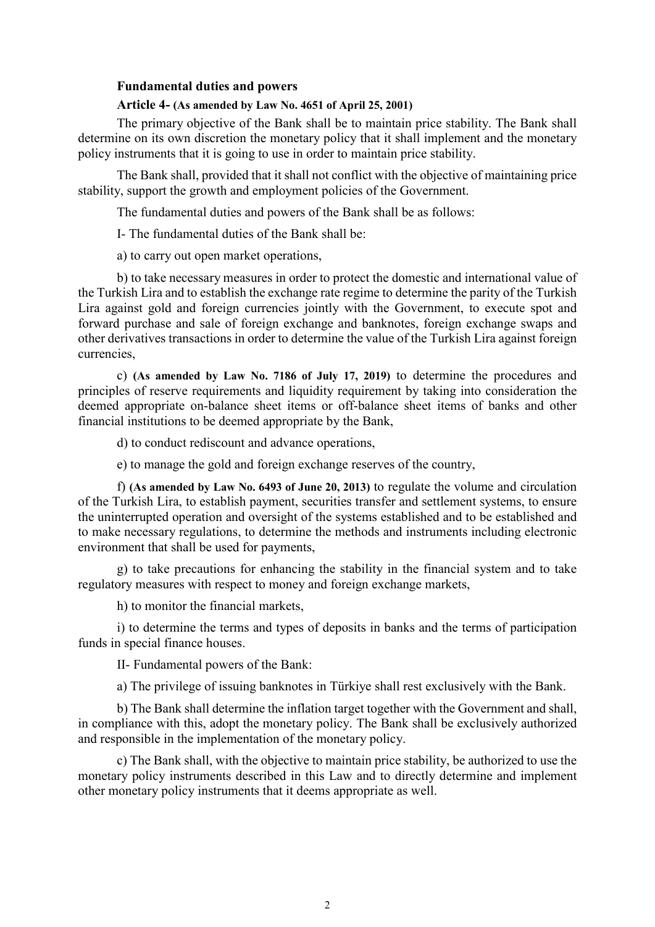### **Fundamental duties and powers**

#### **Article 4- (As amended by Law No. 4651 of April 25, 2001)**

The primary objective of the Bank shall be to maintain price stability. The Bank shall determine on its own discretion the monetary policy that it shall implement and the monetary policy instruments that it is going to use in order to maintain price stability.

The Bank shall, provided that it shall not conflict with the objective of maintaining price stability, support the growth and employment policies of the Government.

The fundamental duties and powers of the Bank shall be as follows:

I- The fundamental duties of the Bank shall be:

a) to carry out open market operations,

b) to take necessary measures in order to protect the domestic and international value of the Turkish Lira and to establish the exchange rate regime to determine the parity of the Turkish Lira against gold and foreign currencies jointly with the Government, to execute spot and forward purchase and sale of foreign exchange and banknotes, foreign exchange swaps and other derivatives transactions in order to determine the value of the Turkish Lira against foreign currencies,

c) **(As amended by Law No. 7186 of July 17, 2019)** to determine the procedures and principles of reserve requirements and liquidity requirement by taking into consideration the deemed appropriate on-balance sheet items or off-balance sheet items of banks and other financial institutions to be deemed appropriate by the Bank,

d) to conduct rediscount and advance operations,

e) to manage the gold and foreign exchange reserves of the country,

f) **(As amended by Law No. 6493 of June 20, 2013)** to regulate the volume and circulation of the Turkish Lira, to establish payment, securities transfer and settlement systems, to ensure the uninterrupted operation and oversight of the systems established and to be established and to make necessary regulations, to determine the methods and instruments including electronic environment that shall be used for payments,

g) to take precautions for enhancing the stability in the financial system and to take regulatory measures with respect to money and foreign exchange markets,

h) to monitor the financial markets,

i) to determine the terms and types of deposits in banks and the terms of participation funds in special finance houses.

II- Fundamental powers of the Bank:

a) The privilege of issuing banknotes in Türkiye shall rest exclusively with the Bank.

b) The Bank shall determine the inflation target together with the Government and shall, in compliance with this, adopt the monetary policy. The Bank shall be exclusively authorized and responsible in the implementation of the monetary policy.

c) The Bank shall, with the objective to maintain price stability, be authorized to use the monetary policy instruments described in this Law and to directly determine and implement other monetary policy instruments that it deems appropriate as well.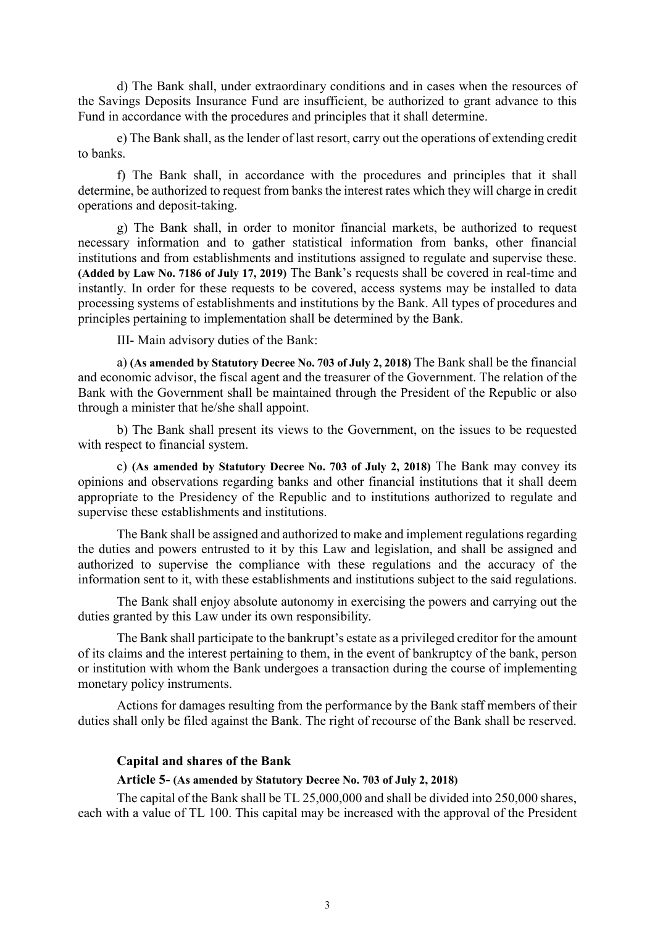d) The Bank shall, under extraordinary conditions and in cases when the resources of the Savings Deposits Insurance Fund are insufficient, be authorized to grant advance to this Fund in accordance with the procedures and principles that it shall determine.

e) The Bank shall, as the lender of last resort, carry out the operations of extending credit to banks.

f) The Bank shall, in accordance with the procedures and principles that it shall determine, be authorized to request from banks the interest rates which they will charge in credit operations and deposit-taking.

g) The Bank shall, in order to monitor financial markets, be authorized to request necessary information and to gather statistical information from banks, other financial institutions and from establishments and institutions assigned to regulate and supervise these. **(Added by Law No. 7186 of July 17, 2019)** The Bank's requests shall be covered in real-time and instantly. In order for these requests to be covered, access systems may be installed to data processing systems of establishments and institutions by the Bank. All types of procedures and principles pertaining to implementation shall be determined by the Bank.

III- Main advisory duties of the Bank:

a) **(As amended by Statutory Decree No. 703 of July 2, 2018)** The Bank shall be the financial and economic advisor, the fiscal agent and the treasurer of the Government. The relation of the Bank with the Government shall be maintained through the President of the Republic or also through a minister that he/she shall appoint.

b) The Bank shall present its views to the Government, on the issues to be requested with respect to financial system.

c) **(As amended by Statutory Decree No. 703 of July 2, 2018)** The Bank may convey its opinions and observations regarding banks and other financial institutions that it shall deem appropriate to the Presidency of the Republic and to institutions authorized to regulate and supervise these establishments and institutions.

The Bank shall be assigned and authorized to make and implement regulations regarding the duties and powers entrusted to it by this Law and legislation, and shall be assigned and authorized to supervise the compliance with these regulations and the accuracy of the information sent to it, with these establishments and institutions subject to the said regulations.

The Bank shall enjoy absolute autonomy in exercising the powers and carrying out the duties granted by this Law under its own responsibility.

The Bank shall participate to the bankrupt's estate as a privileged creditor for the amount of its claims and the interest pertaining to them, in the event of bankruptcy of the bank, person or institution with whom the Bank undergoes a transaction during the course of implementing monetary policy instruments.

Actions for damages resulting from the performance by the Bank staff members of their duties shall only be filed against the Bank. The right of recourse of the Bank shall be reserved.

## **Capital and shares of the Bank**

## **Article 5- (As amended by Statutory Decree No. 703 of July 2, 2018)**

The capital of the Bank shall be TL 25,000,000 and shall be divided into 250,000 shares, each with a value of TL 100. This capital may be increased with the approval of the President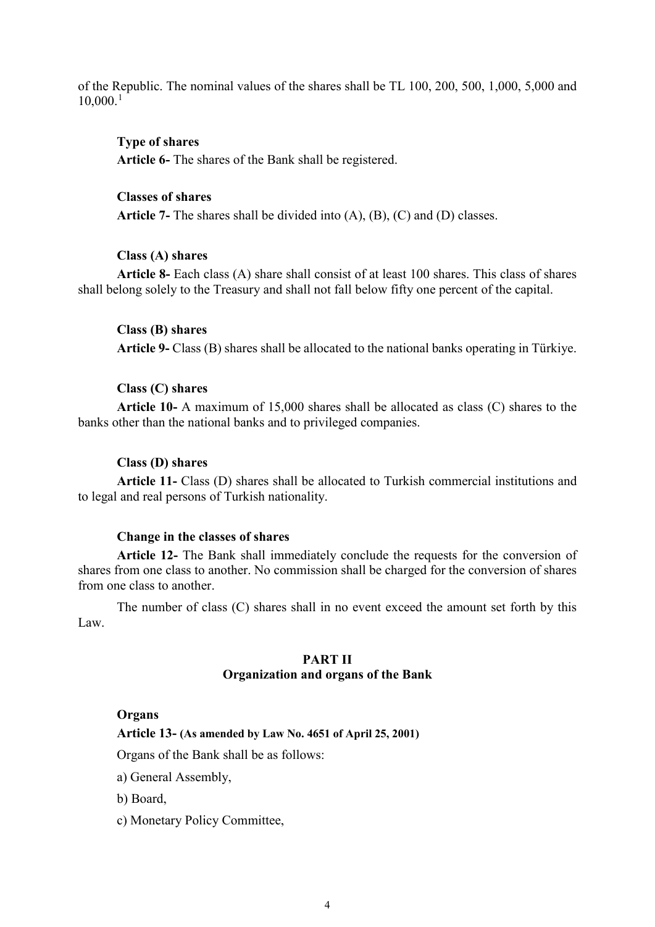of the Republic. The nominal values of the shares shall be TL 100, 200, 500, 1,000, 5,000 and  $10,000^{1}$  $10,000^{1}$ 

## **Type of shares**

**Article 6-** The shares of the Bank shall be registered.

#### **Classes of shares**

**Article 7-** The shares shall be divided into (A), (B), (C) and (D) classes.

#### **Class (A) shares**

**Article 8-** Each class (A) share shall consist of at least 100 shares. This class of shares shall belong solely to the Treasury and shall not fall below fifty one percent of the capital.

## **Class (B) shares**

**Article 9-** Class (B) shares shall be allocated to the national banks operating in Türkiye.

## **Class (C) shares**

**Article 10-** A maximum of 15,000 shares shall be allocated as class (C) shares to the banks other than the national banks and to privileged companies.

### **Class (D) shares**

**Article 11-** Class (D) shares shall be allocated to Turkish commercial institutions and to legal and real persons of Turkish nationality.

## **Change in the classes of shares**

**Article 12-** The Bank shall immediately conclude the requests for the conversion of shares from one class to another. No commission shall be charged for the conversion of shares from one class to another.

The number of class (C) shares shall in no event exceed the amount set forth by this Law.

## **PART II Organization and organs of the Bank**

#### **Organs**

**Article 13- (As amended by Law No. 4651 of April 25, 2001)**

Organs of the Bank shall be as follows:

a) General Assembly,

b) Board,

c) Monetary Policy Committee,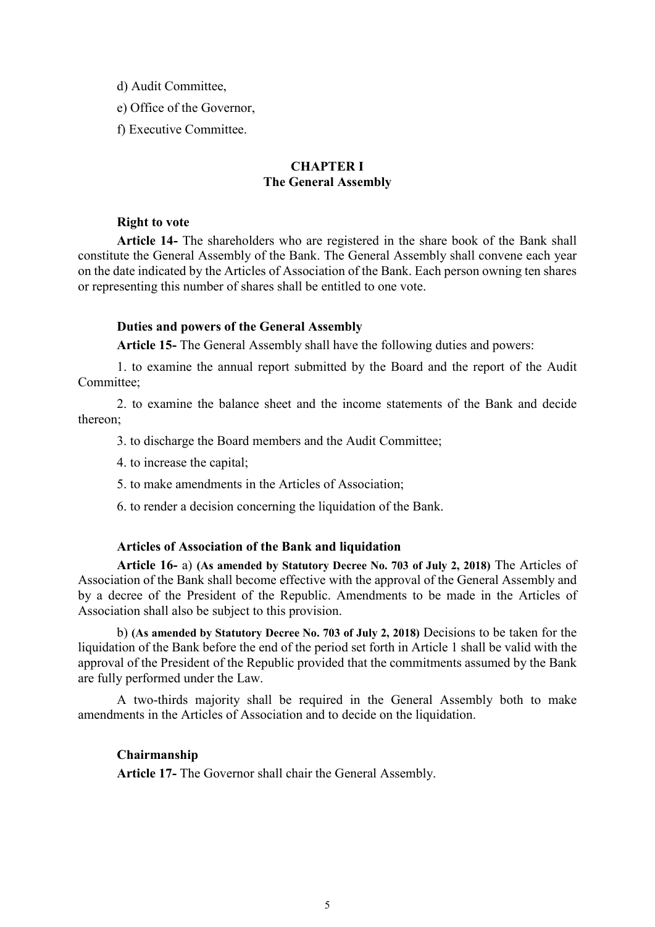d) Audit Committee,

e) Office of the Governor,

f) Executive Committee.

# **CHAPTER I The General Assembly**

### **Right to vote**

**Article 14-** The shareholders who are registered in the share book of the Bank shall constitute the General Assembly of the Bank. The General Assembly shall convene each year on the date indicated by the Articles of Association of the Bank. Each person owning ten shares or representing this number of shares shall be entitled to one vote.

### **Duties and powers of the General Assembly**

**Article 15-** The General Assembly shall have the following duties and powers:

1. to examine the annual report submitted by the Board and the report of the Audit Committee;

2. to examine the balance sheet and the income statements of the Bank and decide thereon;

3. to discharge the Board members and the Audit Committee;

- 4. to increase the capital;
- 5. to make amendments in the Articles of Association;
- 6. to render a decision concerning the liquidation of the Bank.

#### **Articles of Association of the Bank and liquidation**

**Article 16-** a) **(As amended by Statutory Decree No. 703 of July 2, 2018)** The Articles of Association of the Bank shall become effective with the approval of the General Assembly and by a decree of the President of the Republic. Amendments to be made in the Articles of Association shall also be subject to this provision.

b) **(As amended by Statutory Decree No. 703 of July 2, 2018)** Decisions to be taken for the liquidation of the Bank before the end of the period set forth in Article 1 shall be valid with the approval of the President of the Republic provided that the commitments assumed by the Bank are fully performed under the Law.

A two-thirds majority shall be required in the General Assembly both to make amendments in the Articles of Association and to decide on the liquidation.

## **Chairmanship**

**Article 17-** The Governor shall chair the General Assembly.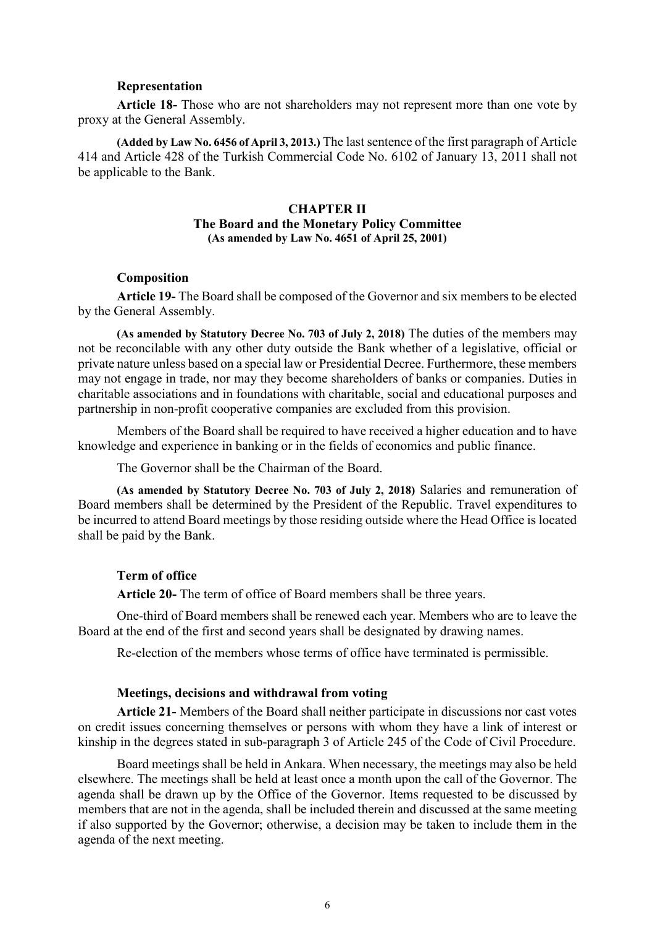#### **Representation**

**Article 18-** Those who are not shareholders may not represent more than one vote by proxy at the General Assembly.

**(Added by Law No. 6456 of April 3, 2013.)** The last sentence of the first paragraph of Article 414 and Article 428 of the Turkish Commercial Code No. 6102 of January 13, 2011 shall not be applicable to the Bank.

## **CHAPTER II The Board and the Monetary Policy Committee (As amended by Law No. 4651 of April 25, 2001)**

### **Composition**

**Article 19-** The Board shall be composed of the Governor and six members to be elected by the General Assembly.

**(As amended by Statutory Decree No. 703 of July 2, 2018)** The duties of the members may not be reconcilable with any other duty outside the Bank whether of a legislative, official or private nature unless based on a special law or Presidential Decree. Furthermore, these members may not engage in trade, nor may they become shareholders of banks or companies. Duties in charitable associations and in foundations with charitable, social and educational purposes and partnership in non-profit cooperative companies are excluded from this provision.

Members of the Board shall be required to have received a higher education and to have knowledge and experience in banking or in the fields of economics and public finance.

The Governor shall be the Chairman of the Board.

**(As amended by Statutory Decree No. 703 of July 2, 2018)** Salaries and remuneration of Board members shall be determined by the President of the Republic. Travel expenditures to be incurred to attend Board meetings by those residing outside where the Head Office is located shall be paid by the Bank.

## **Term of office**

**Article 20-** The term of office of Board members shall be three years.

One-third of Board members shall be renewed each year. Members who are to leave the Board at the end of the first and second years shall be designated by drawing names.

Re-election of the members whose terms of office have terminated is permissible.

#### **Meetings, decisions and withdrawal from voting**

**Article 21-** Members of the Board shall neither participate in discussions nor cast votes on credit issues concerning themselves or persons with whom they have a link of interest or kinship in the degrees stated in sub-paragraph 3 of Article 245 of the Code of Civil Procedure.

Board meetings shall be held in Ankara. When necessary, the meetings may also be held elsewhere. The meetings shall be held at least once a month upon the call of the Governor. The agenda shall be drawn up by the Office of the Governor. Items requested to be discussed by members that are not in the agenda, shall be included therein and discussed at the same meeting if also supported by the Governor; otherwise, a decision may be taken to include them in the agenda of the next meeting.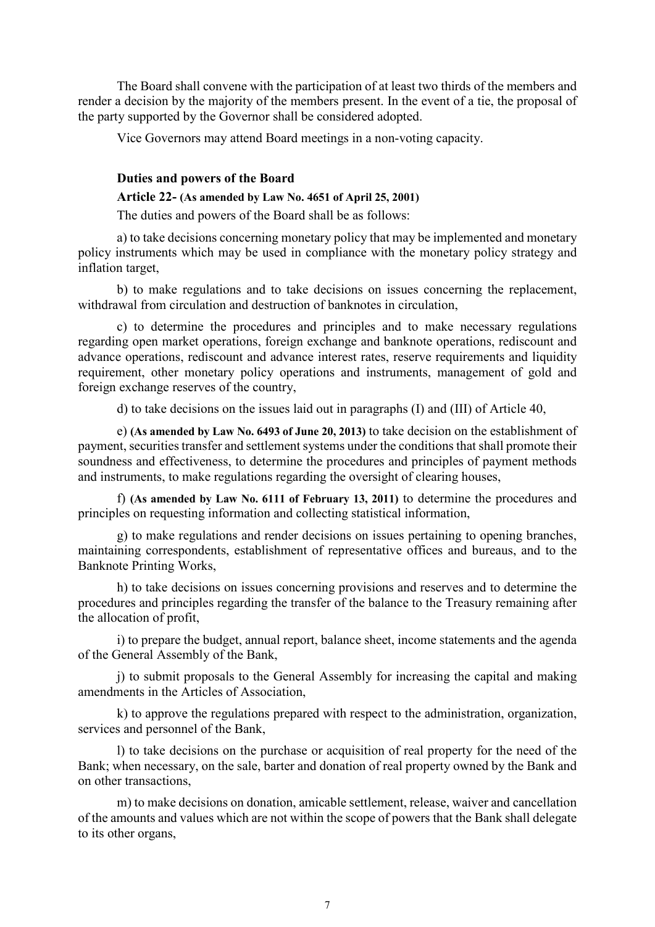The Board shall convene with the participation of at least two thirds of the members and render a decision by the majority of the members present. In the event of a tie, the proposal of the party supported by the Governor shall be considered adopted.

Vice Governors may attend Board meetings in a non-voting capacity.

## **Duties and powers of the Board**

## **Article 22- (As amended by Law No. 4651 of April 25, 2001)**

The duties and powers of the Board shall be as follows:

a) to take decisions concerning monetary policy that may be implemented and monetary policy instruments which may be used in compliance with the monetary policy strategy and inflation target,

b) to make regulations and to take decisions on issues concerning the replacement, withdrawal from circulation and destruction of banknotes in circulation,

c) to determine the procedures and principles and to make necessary regulations regarding open market operations, foreign exchange and banknote operations, rediscount and advance operations, rediscount and advance interest rates, reserve requirements and liquidity requirement, other monetary policy operations and instruments, management of gold and foreign exchange reserves of the country,

d) to take decisions on the issues laid out in paragraphs (I) and (III) of Article 40,

e) **(As amended by Law No. 6493 of June 20, 2013)** to take decision on the establishment of payment, securities transfer and settlement systems under the conditions that shall promote their soundness and effectiveness, to determine the procedures and principles of payment methods and instruments, to make regulations regarding the oversight of clearing houses,

f) **(As amended by Law No. 6111 of February 13, 2011)** to determine the procedures and principles on requesting information and collecting statistical information,

g) to make regulations and render decisions on issues pertaining to opening branches, maintaining correspondents, establishment of representative offices and bureaus, and to the Banknote Printing Works,

h) to take decisions on issues concerning provisions and reserves and to determine the procedures and principles regarding the transfer of the balance to the Treasury remaining after the allocation of profit,

i) to prepare the budget, annual report, balance sheet, income statements and the agenda of the General Assembly of the Bank,

j) to submit proposals to the General Assembly for increasing the capital and making amendments in the Articles of Association,

k) to approve the regulations prepared with respect to the administration, organization, services and personnel of the Bank,

l) to take decisions on the purchase or acquisition of real property for the need of the Bank; when necessary, on the sale, barter and donation of real property owned by the Bank and on other transactions,

m) to make decisions on donation, amicable settlement, release, waiver and cancellation of the amounts and values which are not within the scope of powers that the Bank shall delegate to its other organs,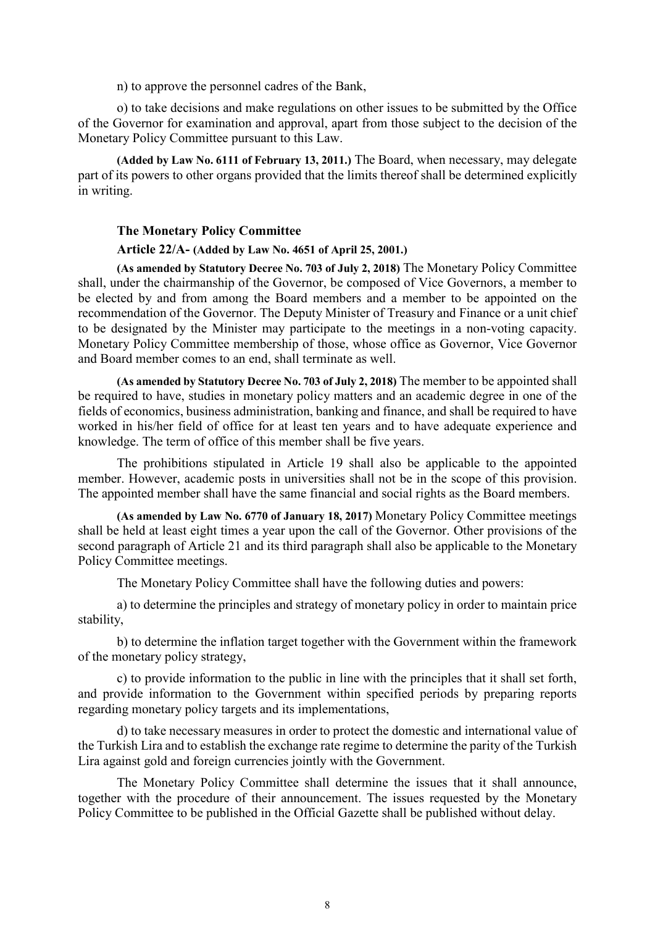n) to approve the personnel cadres of the Bank,

o) to take decisions and make regulations on other issues to be submitted by the Office of the Governor for examination and approval, apart from those subject to the decision of the Monetary Policy Committee pursuant to this Law.

**(Added by Law No. 6111 of February 13, 2011.)** The Board, when necessary, may delegate part of its powers to other organs provided that the limits thereof shall be determined explicitly in writing.

## **The Monetary Policy Committee**

### **Article 22/A- (Added by Law No. 4651 of April 25, 2001.)**

**(As amended by Statutory Decree No. 703 of July 2, 2018)** The Monetary Policy Committee shall, under the chairmanship of the Governor, be composed of Vice Governors, a member to be elected by and from among the Board members and a member to be appointed on the recommendation of the Governor. The Deputy Minister of Treasury and Finance or a unit chief to be designated by the Minister may participate to the meetings in a non-voting capacity. Monetary Policy Committee membership of those, whose office as Governor, Vice Governor and Board member comes to an end, shall terminate as well.

**(As amended by Statutory Decree No. 703 of July 2, 2018)** The member to be appointed shall be required to have, studies in monetary policy matters and an academic degree in one of the fields of economics, business administration, banking and finance, and shall be required to have worked in his/her field of office for at least ten years and to have adequate experience and knowledge. The term of office of this member shall be five years.

The prohibitions stipulated in Article 19 shall also be applicable to the appointed member. However, academic posts in universities shall not be in the scope of this provision. The appointed member shall have the same financial and social rights as the Board members.

**(As amended by Law No. 6770 of January 18, 2017)** Monetary Policy Committee meetings shall be held at least eight times a year upon the call of the Governor. Other provisions of the second paragraph of Article 21 and its third paragraph shall also be applicable to the Monetary Policy Committee meetings.

The Monetary Policy Committee shall have the following duties and powers:

a) to determine the principles and strategy of monetary policy in order to maintain price stability,

b) to determine the inflation target together with the Government within the framework of the monetary policy strategy,

c) to provide information to the public in line with the principles that it shall set forth, and provide information to the Government within specified periods by preparing reports regarding monetary policy targets and its implementations,

d) to take necessary measures in order to protect the domestic and international value of the Turkish Lira and to establish the exchange rate regime to determine the parity of the Turkish Lira against gold and foreign currencies jointly with the Government.

The Monetary Policy Committee shall determine the issues that it shall announce, together with the procedure of their announcement. The issues requested by the Monetary Policy Committee to be published in the Official Gazette shall be published without delay.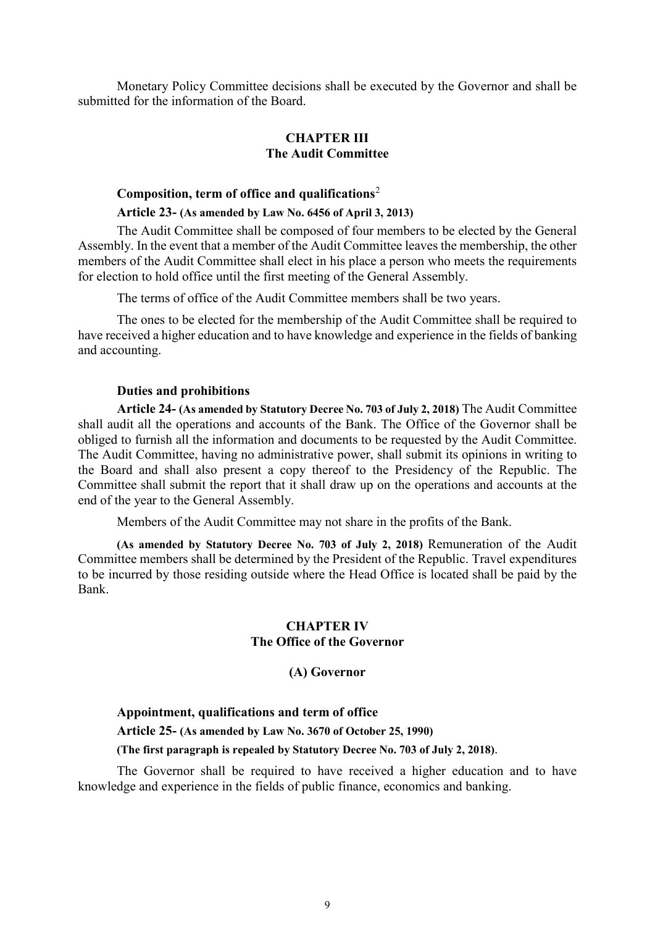Monetary Policy Committee decisions shall be executed by the Governor and shall be submitted for the information of the Board.

## **CHAPTER III The Audit Committee**

## **Composition, term of office and qualifications**[2](#page-27-1)

## **Article 23- (As amended by Law No. 6456 of April 3, 2013)**

The Audit Committee shall be composed of four members to be elected by the General Assembly. In the event that a member of the Audit Committee leaves the membership, the other members of the Audit Committee shall elect in his place a person who meets the requirements for election to hold office until the first meeting of the General Assembly.

The terms of office of the Audit Committee members shall be two years.

The ones to be elected for the membership of the Audit Committee shall be required to have received a higher education and to have knowledge and experience in the fields of banking and accounting.

### **Duties and prohibitions**

**Article 24- (As amended by Statutory Decree No. 703 of July 2, 2018)** The Audit Committee shall audit all the operations and accounts of the Bank. The Office of the Governor shall be obliged to furnish all the information and documents to be requested by the Audit Committee. The Audit Committee, having no administrative power, shall submit its opinions in writing to the Board and shall also present a copy thereof to the Presidency of the Republic. The Committee shall submit the report that it shall draw up on the operations and accounts at the end of the year to the General Assembly.

Members of the Audit Committee may not share in the profits of the Bank.

**(As amended by Statutory Decree No. 703 of July 2, 2018)** Remuneration of the Audit Committee members shall be determined by the President of the Republic. Travel expenditures to be incurred by those residing outside where the Head Office is located shall be paid by the Bank.

## **CHAPTER IV The Office of the Governor**

## **(A) Governor**

## **Appointment, qualifications and term of office**

**Article 25- (As amended by Law No. 3670 of October 25, 1990)**

## **(The first paragraph is repealed by Statutory Decree No. 703 of July 2, 2018)**.

The Governor shall be required to have received a higher education and to have knowledge and experience in the fields of public finance, economics and banking.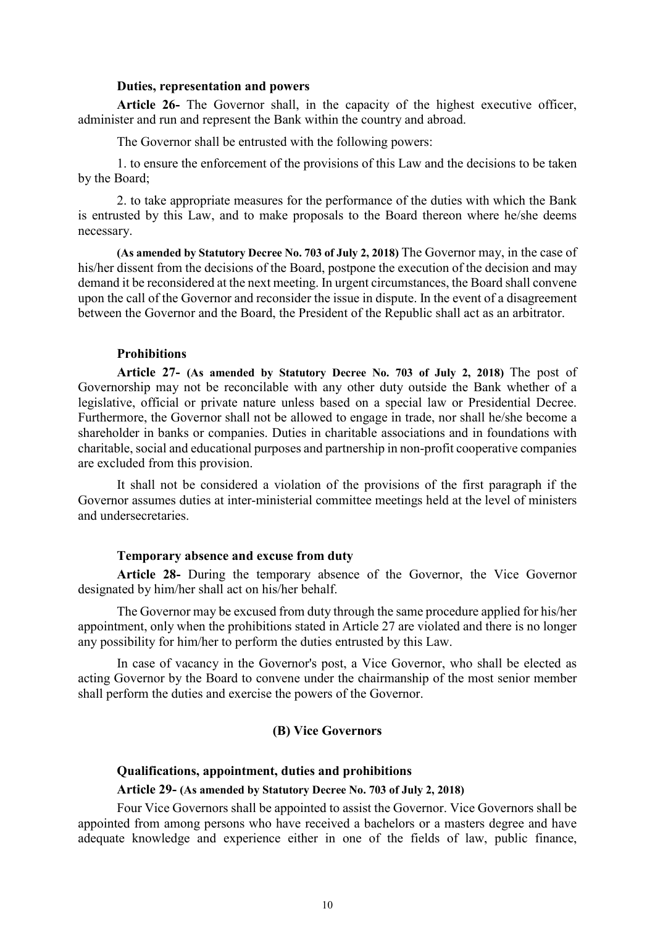#### **Duties, representation and powers**

**Article 26-** The Governor shall, in the capacity of the highest executive officer, administer and run and represent the Bank within the country and abroad.

The Governor shall be entrusted with the following powers:

1. to ensure the enforcement of the provisions of this Law and the decisions to be taken by the Board;

2. to take appropriate measures for the performance of the duties with which the Bank is entrusted by this Law, and to make proposals to the Board thereon where he/she deems necessary.

**(As amended by Statutory Decree No. 703 of July 2, 2018)** The Governor may, in the case of his/her dissent from the decisions of the Board, postpone the execution of the decision and may demand it be reconsidered at the next meeting. In urgent circumstances, the Board shall convene upon the call of the Governor and reconsider the issue in dispute. In the event of a disagreement between the Governor and the Board, the President of the Republic shall act as an arbitrator.

### **Prohibitions**

**Article 27- (As amended by Statutory Decree No. 703 of July 2, 2018)** The post of Governorship may not be reconcilable with any other duty outside the Bank whether of a legislative, official or private nature unless based on a special law or Presidential Decree. Furthermore, the Governor shall not be allowed to engage in trade, nor shall he/she become a shareholder in banks or companies. Duties in charitable associations and in foundations with charitable, social and educational purposes and partnership in non-profit cooperative companies are excluded from this provision.

It shall not be considered a violation of the provisions of the first paragraph if the Governor assumes duties at inter-ministerial committee meetings held at the level of ministers and undersecretaries.

#### **Temporary absence and excuse from duty**

**Article 28-** During the temporary absence of the Governor, the Vice Governor designated by him/her shall act on his/her behalf.

The Governor may be excused from duty through the same procedure applied for his/her appointment, only when the prohibitions stated in Article 27 are violated and there is no longer any possibility for him/her to perform the duties entrusted by this Law.

In case of vacancy in the Governor's post, a Vice Governor, who shall be elected as acting Governor by the Board to convene under the chairmanship of the most senior member shall perform the duties and exercise the powers of the Governor.

## **(B) Vice Governors**

#### **Qualifications, appointment, duties and prohibitions**

#### **Article 29- (As amended by Statutory Decree No. 703 of July 2, 2018)**

Four Vice Governors shall be appointed to assist the Governor. Vice Governors shall be appointed from among persons who have received a bachelors or a masters degree and have adequate knowledge and experience either in one of the fields of law, public finance,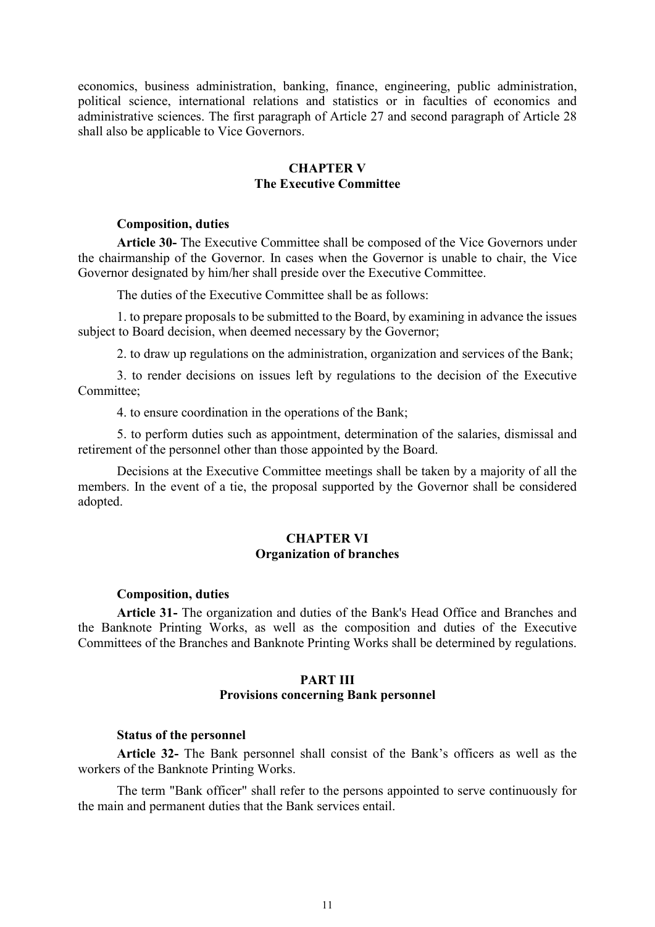economics, business administration, banking, finance, engineering, public administration, political science, international relations and statistics or in faculties of economics and administrative sciences. The first paragraph of Article 27 and second paragraph of Article 28 shall also be applicable to Vice Governors.

## **CHAPTER V The Executive Committee**

## **Composition, duties**

**Article 30-** The Executive Committee shall be composed of the Vice Governors under the chairmanship of the Governor. In cases when the Governor is unable to chair, the Vice Governor designated by him/her shall preside over the Executive Committee.

The duties of the Executive Committee shall be as follows:

1. to prepare proposals to be submitted to the Board, by examining in advance the issues subject to Board decision, when deemed necessary by the Governor;

2. to draw up regulations on the administration, organization and services of the Bank;

3. to render decisions on issues left by regulations to the decision of the Executive Committee;

4. to ensure coordination in the operations of the Bank;

5. to perform duties such as appointment, determination of the salaries, dismissal and retirement of the personnel other than those appointed by the Board.

Decisions at the Executive Committee meetings shall be taken by a majority of all the members. In the event of a tie, the proposal supported by the Governor shall be considered adopted.

## **CHAPTER VI Organization of branches**

#### **Composition, duties**

**Article 31-** The organization and duties of the Bank's Head Office and Branches and the Banknote Printing Works, as well as the composition and duties of the Executive Committees of the Branches and Banknote Printing Works shall be determined by regulations.

## **PART III Provisions concerning Bank personnel**

#### **Status of the personnel**

**Article 32-** The Bank personnel shall consist of the Bank's officers as well as the workers of the Banknote Printing Works.

The term "Bank officer" shall refer to the persons appointed to serve continuously for the main and permanent duties that the Bank services entail.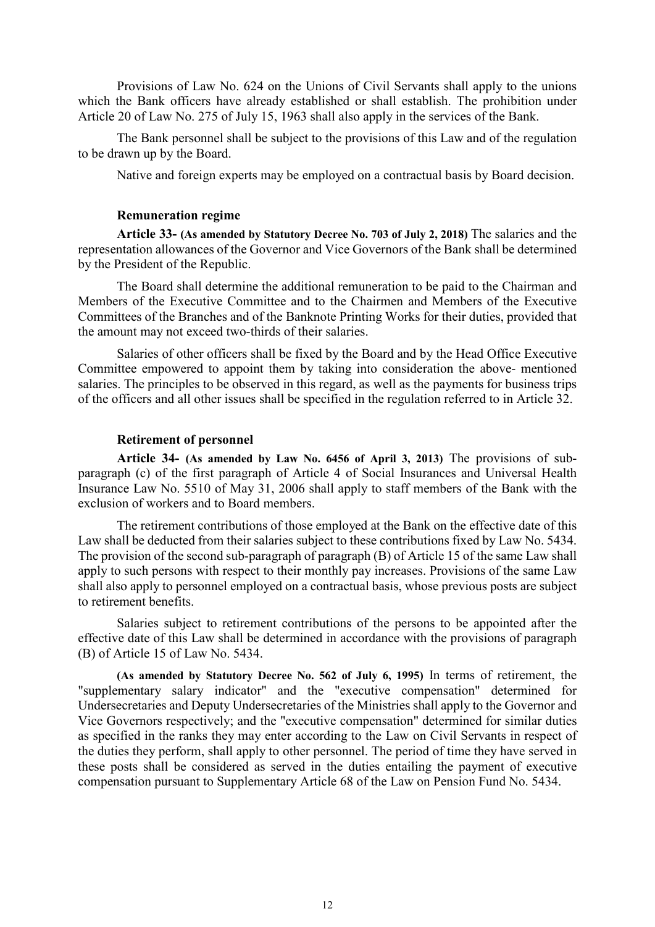Provisions of Law No. 624 on the Unions of Civil Servants shall apply to the unions which the Bank officers have already established or shall establish. The prohibition under Article 20 of Law No. 275 of July 15, 1963 shall also apply in the services of the Bank.

The Bank personnel shall be subject to the provisions of this Law and of the regulation to be drawn up by the Board.

Native and foreign experts may be employed on a contractual basis by Board decision.

### **Remuneration regime**

**Article 33- (As amended by Statutory Decree No. 703 of July 2, 2018)** The salaries and the representation allowances of the Governor and Vice Governors of the Bank shall be determined by the President of the Republic.

The Board shall determine the additional remuneration to be paid to the Chairman and Members of the Executive Committee and to the Chairmen and Members of the Executive Committees of the Branches and of the Banknote Printing Works for their duties, provided that the amount may not exceed two-thirds of their salaries.

Salaries of other officers shall be fixed by the Board and by the Head Office Executive Committee empowered to appoint them by taking into consideration the above- mentioned salaries. The principles to be observed in this regard, as well as the payments for business trips of the officers and all other issues shall be specified in the regulation referred to in Article 32.

## **Retirement of personnel**

**Article 34- (As amended by Law No. 6456 of April 3, 2013)** The provisions of subparagraph (c) of the first paragraph of Article 4 of Social Insurances and Universal Health Insurance Law No. 5510 of May 31, 2006 shall apply to staff members of the Bank with the exclusion of workers and to Board members.

The retirement contributions of those employed at the Bank on the effective date of this Law shall be deducted from their salaries subject to these contributions fixed by Law No. 5434. The provision of the second sub-paragraph of paragraph (B) of Article 15 of the same Law shall apply to such persons with respect to their monthly pay increases. Provisions of the same Law shall also apply to personnel employed on a contractual basis, whose previous posts are subject to retirement benefits.

Salaries subject to retirement contributions of the persons to be appointed after the effective date of this Law shall be determined in accordance with the provisions of paragraph (B) of Article 15 of Law No. 5434.

**(As amended by Statutory Decree No. 562 of July 6, 1995)** In terms of retirement, the "supplementary salary indicator" and the "executive compensation" determined for Undersecretaries and Deputy Undersecretaries of the Ministries shall apply to the Governor and Vice Governors respectively; and the "executive compensation" determined for similar duties as specified in the ranks they may enter according to the Law on Civil Servants in respect of the duties they perform, shall apply to other personnel. The period of time they have served in these posts shall be considered as served in the duties entailing the payment of executive compensation pursuant to Supplementary Article 68 of the Law on Pension Fund No. 5434.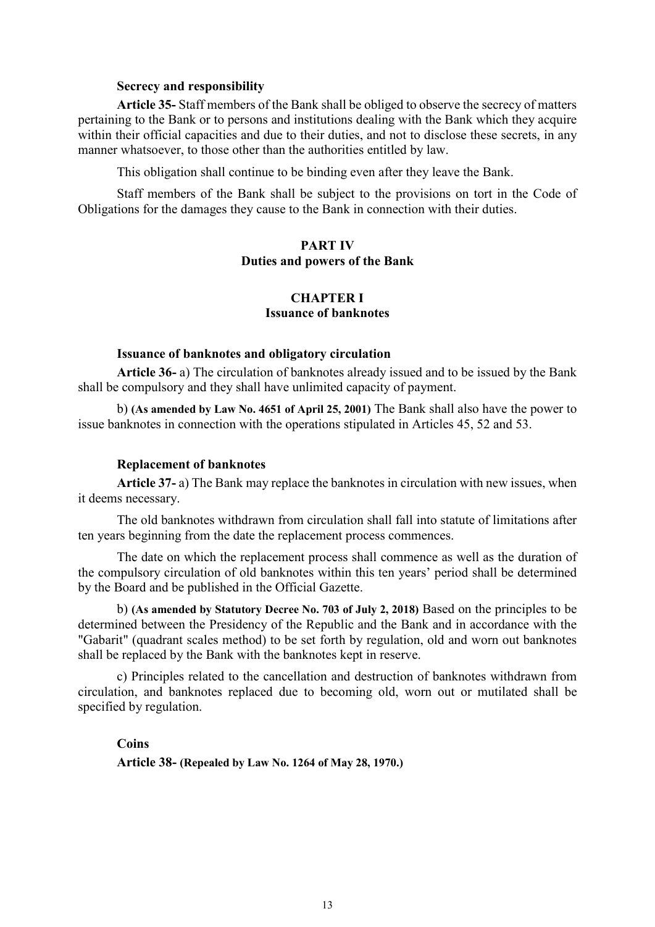### **Secrecy and responsibility**

**Article 35-** Staff members of the Bank shall be obliged to observe the secrecy of matters pertaining to the Bank or to persons and institutions dealing with the Bank which they acquire within their official capacities and due to their duties, and not to disclose these secrets, in any manner whatsoever, to those other than the authorities entitled by law.

This obligation shall continue to be binding even after they leave the Bank.

Staff members of the Bank shall be subject to the provisions on tort in the Code of Obligations for the damages they cause to the Bank in connection with their duties.

## **PART IV Duties and powers of the Bank**

## **CHAPTER I Issuance of banknotes**

### **Issuance of banknotes and obligatory circulation**

**Article 36-** a) The circulation of banknotes already issued and to be issued by the Bank shall be compulsory and they shall have unlimited capacity of payment.

b) **(As amended by Law No. 4651 of April 25, 2001)** The Bank shall also have the power to issue banknotes in connection with the operations stipulated in Articles 45, 52 and 53.

## **Replacement of banknotes**

**Article 37-** a) The Bank may replace the banknotes in circulation with new issues, when it deems necessary.

The old banknotes withdrawn from circulation shall fall into statute of limitations after ten years beginning from the date the replacement process commences.

The date on which the replacement process shall commence as well as the duration of the compulsory circulation of old banknotes within this ten years' period shall be determined by the Board and be published in the Official Gazette.

b) **(As amended by Statutory Decree No. 703 of July 2, 2018)** Based on the principles to be determined between the Presidency of the Republic and the Bank and in accordance with the "Gabarit" (quadrant scales method) to be set forth by regulation, old and worn out banknotes shall be replaced by the Bank with the banknotes kept in reserve.

c) Principles related to the cancellation and destruction of banknotes withdrawn from circulation, and banknotes replaced due to becoming old, worn out or mutilated shall be specified by regulation.

**Coins**

**Article 38- (Repealed by Law No. 1264 of May 28, 1970.)**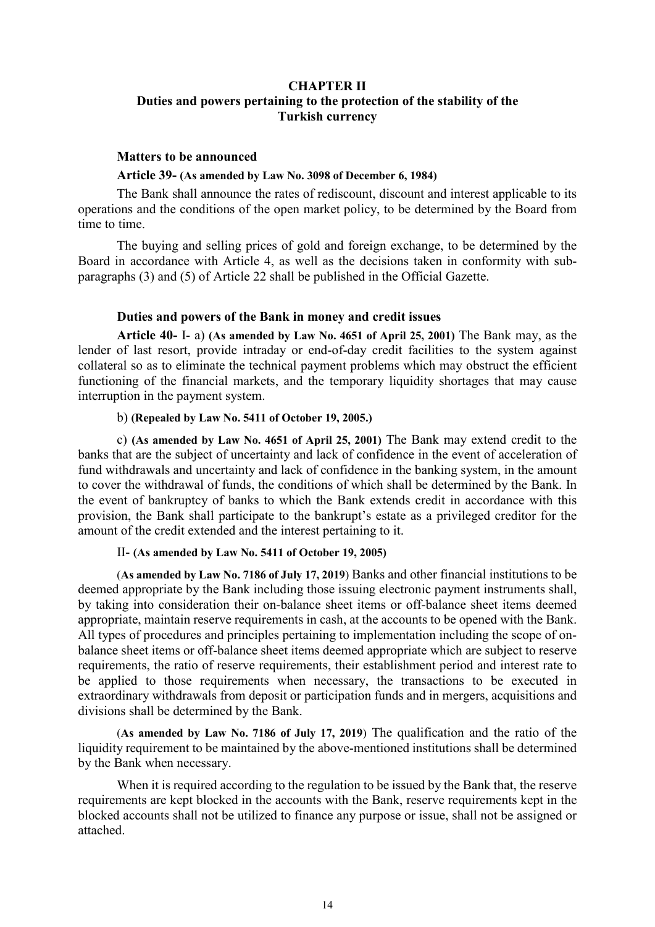## **CHAPTER II Duties and powers pertaining to the protection of the stability of the Turkish currency**

#### **Matters to be announced**

### **Article 39- (As amended by Law No. 3098 of December 6, 1984)**

The Bank shall announce the rates of rediscount, discount and interest applicable to its operations and the conditions of the open market policy, to be determined by the Board from time to time.

The buying and selling prices of gold and foreign exchange, to be determined by the Board in accordance with Article 4, as well as the decisions taken in conformity with subparagraphs (3) and (5) of Article 22 shall be published in the Official Gazette.

## **Duties and powers of the Bank in money and credit issues**

**Article 40-** I- a) **(As amended by Law No. 4651 of April 25, 2001)** The Bank may, as the lender of last resort, provide intraday or end-of-day credit facilities to the system against collateral so as to eliminate the technical payment problems which may obstruct the efficient functioning of the financial markets, and the temporary liquidity shortages that may cause interruption in the payment system.

## b) **(Repealed by Law No. 5411 of October 19, 2005.)**

c) **(As amended by Law No. 4651 of April 25, 2001)** The Bank may extend credit to the banks that are the subject of uncertainty and lack of confidence in the event of acceleration of fund withdrawals and uncertainty and lack of confidence in the banking system, in the amount to cover the withdrawal of funds, the conditions of which shall be determined by the Bank. In the event of bankruptcy of banks to which the Bank extends credit in accordance with this provision, the Bank shall participate to the bankrupt's estate as a privileged creditor for the amount of the credit extended and the interest pertaining to it.

## II- **(As amended by Law No. 5411 of October 19, 2005)**

(**As amended by Law No. 7186 of July 17, 2019**) Banks and other financial institutions to be deemed appropriate by the Bank including those issuing electronic payment instruments shall, by taking into consideration their on-balance sheet items or off-balance sheet items deemed appropriate, maintain reserve requirements in cash, at the accounts to be opened with the Bank. All types of procedures and principles pertaining to implementation including the scope of onbalance sheet items or off-balance sheet items deemed appropriate which are subject to reserve requirements, the ratio of reserve requirements, their establishment period and interest rate to be applied to those requirements when necessary, the transactions to be executed in extraordinary withdrawals from deposit or participation funds and in mergers, acquisitions and divisions shall be determined by the Bank.

(**As amended by Law No. 7186 of July 17, 2019**) The qualification and the ratio of the liquidity requirement to be maintained by the above-mentioned institutions shall be determined by the Bank when necessary.

When it is required according to the regulation to be issued by the Bank that, the reserve requirements are kept blocked in the accounts with the Bank, reserve requirements kept in the blocked accounts shall not be utilized to finance any purpose or issue, shall not be assigned or attached.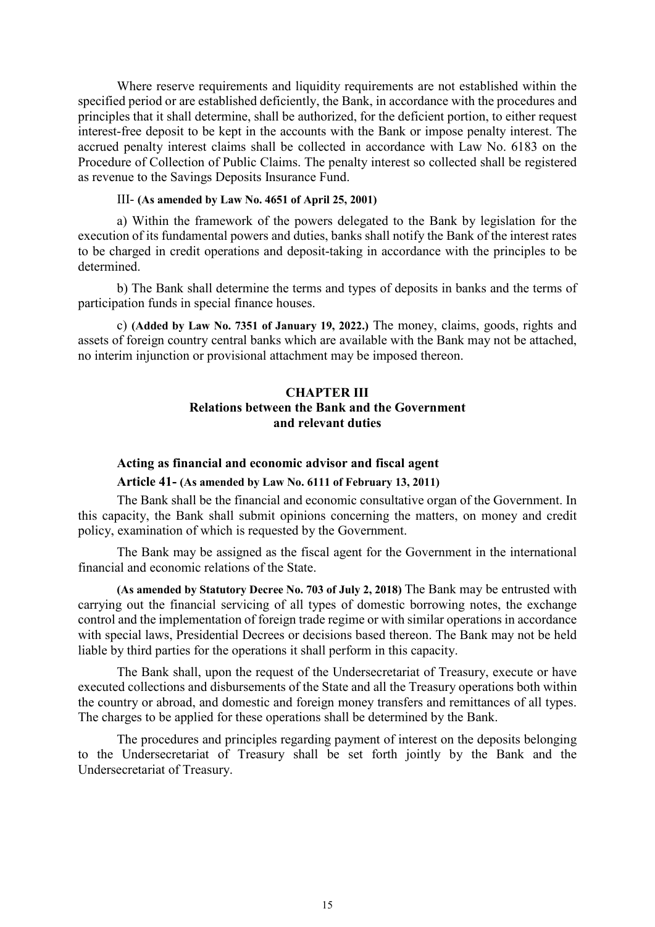Where reserve requirements and liquidity requirements are not established within the specified period or are established deficiently, the Bank, in accordance with the procedures and principles that it shall determine, shall be authorized, for the deficient portion, to either request interest-free deposit to be kept in the accounts with the Bank or impose penalty interest. The accrued penalty interest claims shall be collected in accordance with Law No. 6183 on the Procedure of Collection of Public Claims. The penalty interest so collected shall be registered as revenue to the Savings Deposits Insurance Fund.

## III- **(As amended by Law No. 4651 of April 25, 2001)**

a) Within the framework of the powers delegated to the Bank by legislation for the execution of its fundamental powers and duties, banks shall notify the Bank of the interest rates to be charged in credit operations and deposit-taking in accordance with the principles to be determined.

b) The Bank shall determine the terms and types of deposits in banks and the terms of participation funds in special finance houses.

c) **(Added by Law No. 7351 of January 19, 2022.)** The money, claims, goods, rights and assets of foreign country central banks which are available with the Bank may not be attached, no interim injunction or provisional attachment may be imposed thereon.

## **CHAPTER III Relations between the Bank and the Government and relevant duties**

#### **Acting as financial and economic advisor and fiscal agent**

#### **Article 41- (As amended by Law No. 6111 of February 13, 2011)**

The Bank shall be the financial and economic consultative organ of the Government. In this capacity, the Bank shall submit opinions concerning the matters, on money and credit policy, examination of which is requested by the Government.

The Bank may be assigned as the fiscal agent for the Government in the international financial and economic relations of the State.

**(As amended by Statutory Decree No. 703 of July 2, 2018)** The Bank may be entrusted with carrying out the financial servicing of all types of domestic borrowing notes, the exchange control and the implementation of foreign trade regime or with similar operations in accordance with special laws, Presidential Decrees or decisions based thereon. The Bank may not be held liable by third parties for the operations it shall perform in this capacity.

The Bank shall, upon the request of the Undersecretariat of Treasury, execute or have executed collections and disbursements of the State and all the Treasury operations both within the country or abroad, and domestic and foreign money transfers and remittances of all types. The charges to be applied for these operations shall be determined by the Bank.

The procedures and principles regarding payment of interest on the deposits belonging to the Undersecretariat of Treasury shall be set forth jointly by the Bank and the Undersecretariat of Treasury.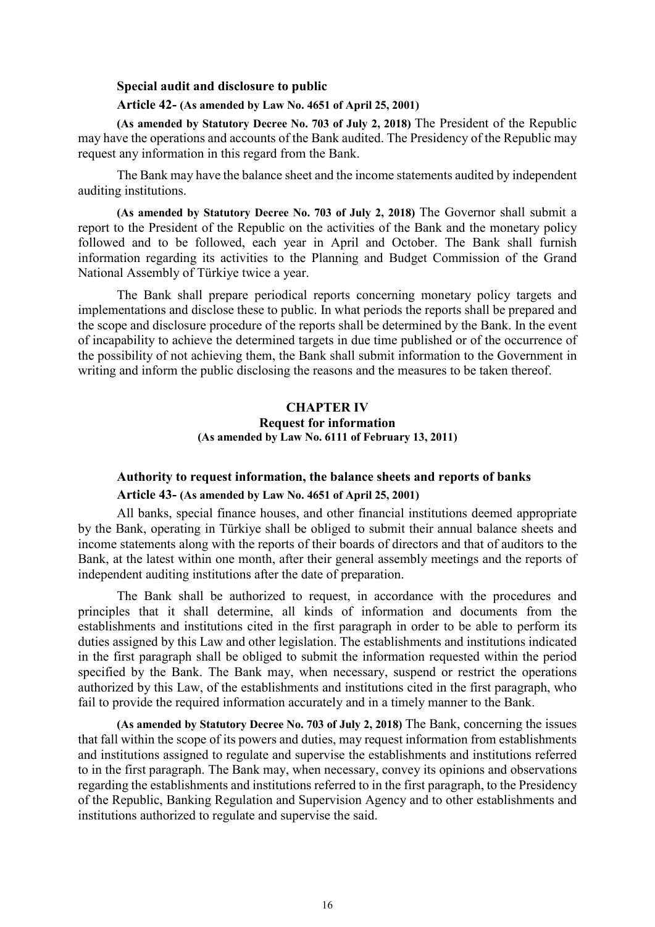## **Special audit and disclosure to public**

### **Article 42- (As amended by Law No. 4651 of April 25, 2001)**

**(As amended by Statutory Decree No. 703 of July 2, 2018)** The President of the Republic may have the operations and accounts of the Bank audited. The Presidency of the Republic may request any information in this regard from the Bank.

The Bank may have the balance sheet and the income statements audited by independent auditing institutions.

**(As amended by Statutory Decree No. 703 of July 2, 2018)** The Governor shall submit a report to the President of the Republic on the activities of the Bank and the monetary policy followed and to be followed, each year in April and October. The Bank shall furnish information regarding its activities to the Planning and Budget Commission of the Grand National Assembly of Türkiye twice a year.

The Bank shall prepare periodical reports concerning monetary policy targets and implementations and disclose these to public. In what periods the reports shall be prepared and the scope and disclosure procedure of the reports shall be determined by the Bank. In the event of incapability to achieve the determined targets in due time published or of the occurrence of the possibility of not achieving them, the Bank shall submit information to the Government in writing and inform the public disclosing the reasons and the measures to be taken thereof.

## **CHAPTER IV Request for information (As amended by Law No. 6111 of February 13, 2011)**

## **Authority to request information, the balance sheets and reports of banks**

## **Article 43- (As amended by Law No. 4651 of April 25, 2001)**

All banks, special finance houses, and other financial institutions deemed appropriate by the Bank, operating in Türkiye shall be obliged to submit their annual balance sheets and income statements along with the reports of their boards of directors and that of auditors to the Bank, at the latest within one month, after their general assembly meetings and the reports of independent auditing institutions after the date of preparation.

The Bank shall be authorized to request, in accordance with the procedures and principles that it shall determine, all kinds of information and documents from the establishments and institutions cited in the first paragraph in order to be able to perform its duties assigned by this Law and other legislation. The establishments and institutions indicated in the first paragraph shall be obliged to submit the information requested within the period specified by the Bank. The Bank may, when necessary, suspend or restrict the operations authorized by this Law, of the establishments and institutions cited in the first paragraph, who fail to provide the required information accurately and in a timely manner to the Bank.

**(As amended by Statutory Decree No. 703 of July 2, 2018)** The Bank, concerning the issues that fall within the scope of its powers and duties, may request information from establishments and institutions assigned to regulate and supervise the establishments and institutions referred to in the first paragraph. The Bank may, when necessary, convey its opinions and observations regarding the establishments and institutions referred to in the first paragraph, to the Presidency of the Republic, Banking Regulation and Supervision Agency and to other establishments and institutions authorized to regulate and supervise the said.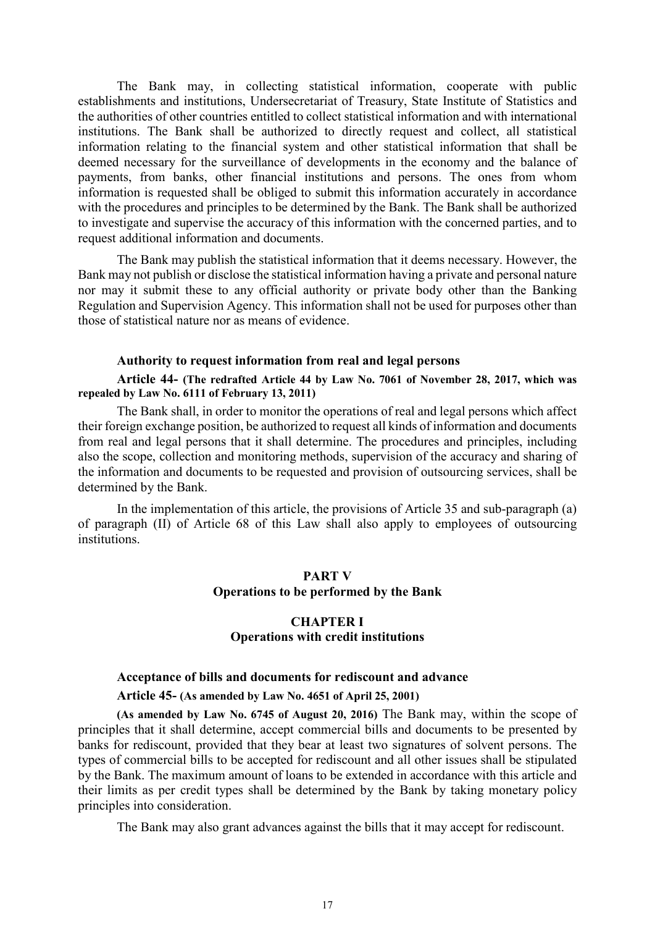The Bank may, in collecting statistical information, cooperate with public establishments and institutions, Undersecretariat of Treasury, State Institute of Statistics and the authorities of other countries entitled to collect statistical information and with international institutions. The Bank shall be authorized to directly request and collect, all statistical information relating to the financial system and other statistical information that shall be deemed necessary for the surveillance of developments in the economy and the balance of payments, from banks, other financial institutions and persons. The ones from whom information is requested shall be obliged to submit this information accurately in accordance with the procedures and principles to be determined by the Bank. The Bank shall be authorized to investigate and supervise the accuracy of this information with the concerned parties, and to request additional information and documents.

The Bank may publish the statistical information that it deems necessary. However, the Bank may not publish or disclose the statistical information having a private and personal nature nor may it submit these to any official authority or private body other than the Banking Regulation and Supervision Agency. This information shall not be used for purposes other than those of statistical nature nor as means of evidence.

#### **Authority to request information from real and legal persons**

**Article 44- (The redrafted Article 44 by Law No. 7061 of November 28, 2017, which was repealed by Law No. 6111 of February 13, 2011)**

The Bank shall, in order to monitor the operations of real and legal persons which affect their foreign exchange position, be authorized to request all kinds of information and documents from real and legal persons that it shall determine. The procedures and principles, including also the scope, collection and monitoring methods, supervision of the accuracy and sharing of the information and documents to be requested and provision of outsourcing services, shall be determined by the Bank.

In the implementation of this article, the provisions of Article 35 and sub-paragraph (a) of paragraph (II) of Article 68 of this Law shall also apply to employees of outsourcing institutions.

## **PART V Operations to be performed by the Bank**

## **CHAPTER I Operations with credit institutions**

# **Acceptance of bills and documents for rediscount and advance Article 45- (As amended by Law No. 4651 of April 25, 2001)**

**(As amended by Law No. 6745 of August 20, 2016)** The Bank may, within the scope of principles that it shall determine, accept commercial bills and documents to be presented by banks for rediscount, provided that they bear at least two signatures of solvent persons. The types of commercial bills to be accepted for rediscount and all other issues shall be stipulated by the Bank. The maximum amount of loans to be extended in accordance with this article and their limits as per credit types shall be determined by the Bank by taking monetary policy principles into consideration.

The Bank may also grant advances against the bills that it may accept for rediscount.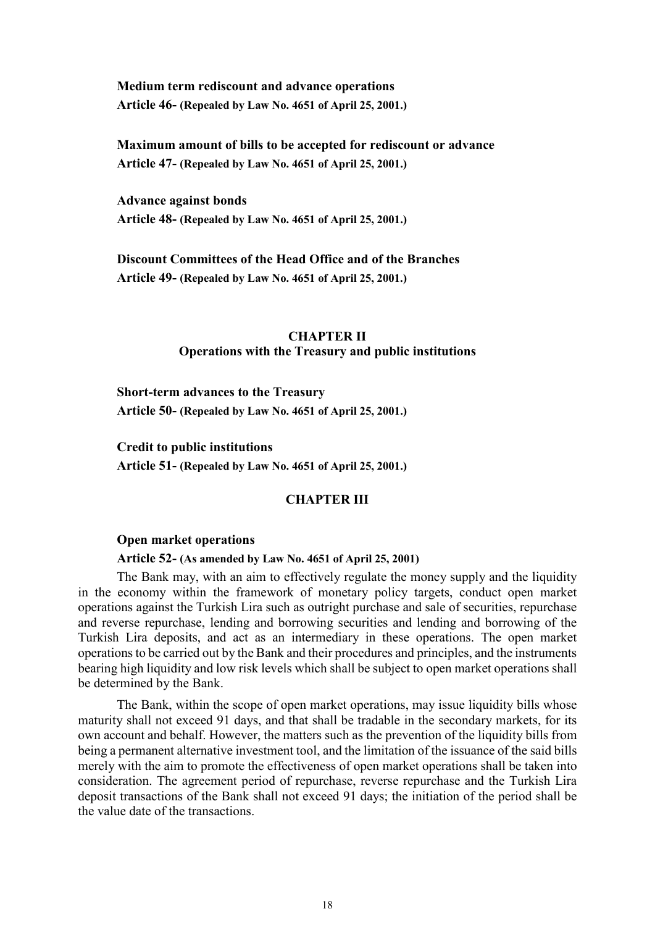**Medium term rediscount and advance operations Article 46- (Repealed by Law No. 4651 of April 25, 2001.)**

**Maximum amount of bills to be accepted for rediscount or advance Article 47- (Repealed by Law No. 4651 of April 25, 2001.)**

**Advance against bonds Article 48- (Repealed by Law No. 4651 of April 25, 2001.)**

**Discount Committees of the Head Office and of the Branches Article 49- (Repealed by Law No. 4651 of April 25, 2001.)**

## **CHAPTER II Operations with the Treasury and public institutions**

**Short-term advances to the Treasury Article 50- (Repealed by Law No. 4651 of April 25, 2001.)**

**Credit to public institutions Article 51- (Repealed by Law No. 4651 of April 25, 2001.)**

## **CHAPTER III**

### **Open market operations**

## **Article 52- (As amended by Law No. 4651 of April 25, 2001)**

The Bank may, with an aim to effectively regulate the money supply and the liquidity in the economy within the framework of monetary policy targets, conduct open market operations against the Turkish Lira such as outright purchase and sale of securities, repurchase and reverse repurchase, lending and borrowing securities and lending and borrowing of the Turkish Lira deposits, and act as an intermediary in these operations. The open market operations to be carried out by the Bank and their procedures and principles, and the instruments bearing high liquidity and low risk levels which shall be subject to open market operations shall be determined by the Bank.

The Bank, within the scope of open market operations, may issue liquidity bills whose maturity shall not exceed 91 days, and that shall be tradable in the secondary markets, for its own account and behalf. However, the matters such as the prevention of the liquidity bills from being a permanent alternative investment tool, and the limitation of the issuance of the said bills merely with the aim to promote the effectiveness of open market operations shall be taken into consideration. The agreement period of repurchase, reverse repurchase and the Turkish Lira deposit transactions of the Bank shall not exceed 91 days; the initiation of the period shall be the value date of the transactions.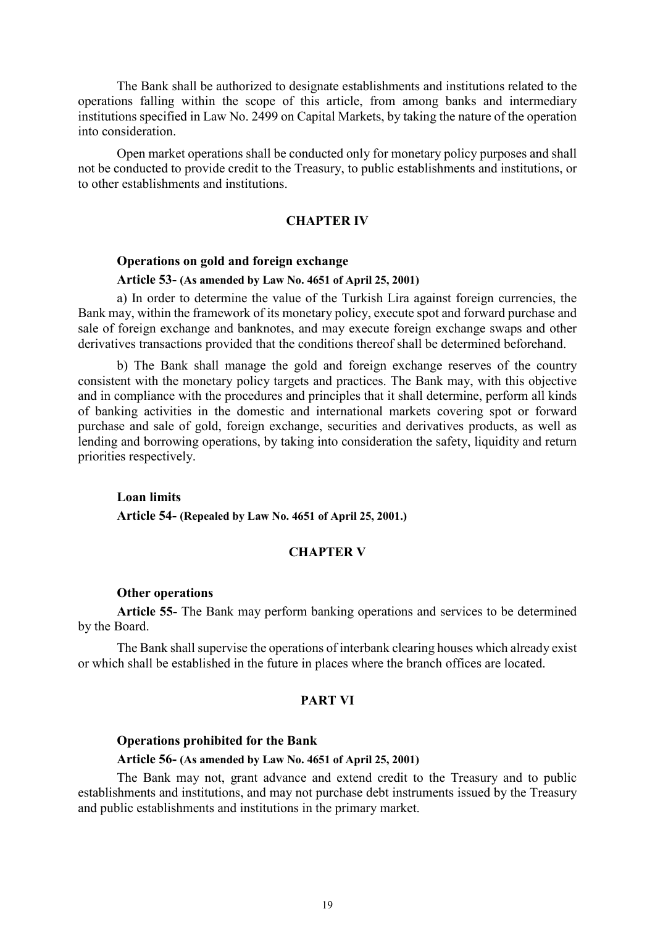The Bank shall be authorized to designate establishments and institutions related to the operations falling within the scope of this article, from among banks and intermediary institutions specified in Law No. 2499 on Capital Markets, by taking the nature of the operation into consideration.

Open market operations shall be conducted only for monetary policy purposes and shall not be conducted to provide credit to the Treasury, to public establishments and institutions, or to other establishments and institutions.

### **CHAPTER IV**

## **Operations on gold and foreign exchange**

#### **Article 53- (As amended by Law No. 4651 of April 25, 2001)**

a) In order to determine the value of the Turkish Lira against foreign currencies, the Bank may, within the framework of its monetary policy, execute spot and forward purchase and sale of foreign exchange and banknotes, and may execute foreign exchange swaps and other derivatives transactions provided that the conditions thereof shall be determined beforehand.

b) The Bank shall manage the gold and foreign exchange reserves of the country consistent with the monetary policy targets and practices. The Bank may, with this objective and in compliance with the procedures and principles that it shall determine, perform all kinds of banking activities in the domestic and international markets covering spot or forward purchase and sale of gold, foreign exchange, securities and derivatives products, as well as lending and borrowing operations, by taking into consideration the safety, liquidity and return priorities respectively.

#### **Loan limits**

**Article 54- (Repealed by Law No. 4651 of April 25, 2001.)**

## **CHAPTER V**

#### **Other operations**

**Article 55-** The Bank may perform banking operations and services to be determined by the Board.

The Bank shall supervise the operations of interbank clearing houses which already exist or which shall be established in the future in places where the branch offices are located.

#### **PART VI**

## **Operations prohibited for the Bank**

#### **Article 56- (As amended by Law No. 4651 of April 25, 2001)**

The Bank may not, grant advance and extend credit to the Treasury and to public establishments and institutions, and may not purchase debt instruments issued by the Treasury and public establishments and institutions in the primary market.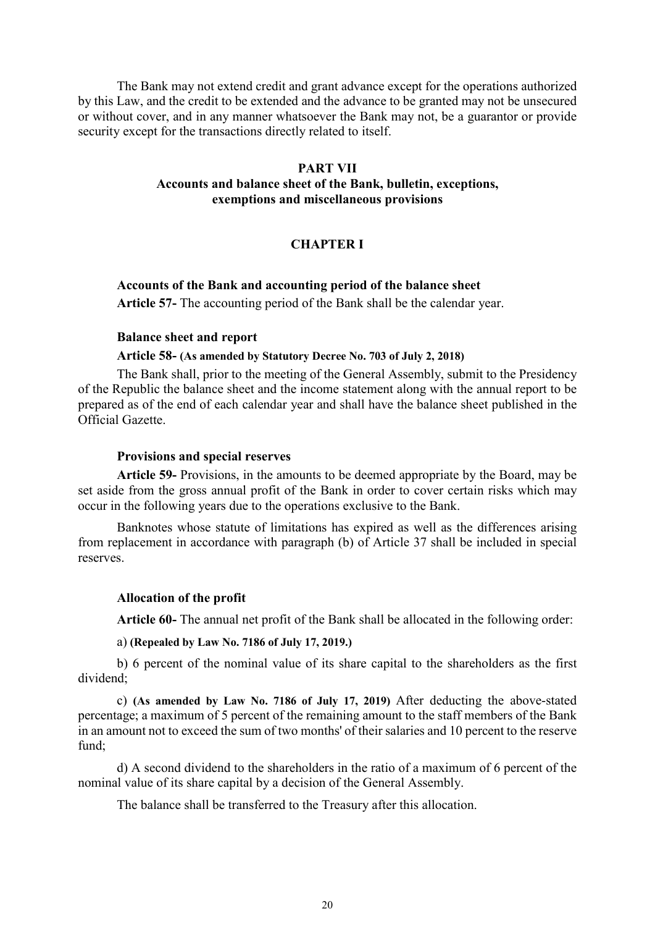The Bank may not extend credit and grant advance except for the operations authorized by this Law, and the credit to be extended and the advance to be granted may not be unsecured or without cover, and in any manner whatsoever the Bank may not, be a guarantor or provide security except for the transactions directly related to itself.

## **PART VII**

## **Accounts and balance sheet of the Bank, bulletin, exceptions, exemptions and miscellaneous provisions**

## **CHAPTER I**

## **Accounts of the Bank and accounting period of the balance sheet**

**Article 57-** The accounting period of the Bank shall be the calendar year.

### **Balance sheet and report**

### **Article 58- (As amended by Statutory Decree No. 703 of July 2, 2018)**

The Bank shall, prior to the meeting of the General Assembly, submit to the Presidency of the Republic the balance sheet and the income statement along with the annual report to be prepared as of the end of each calendar year and shall have the balance sheet published in the Official Gazette.

#### **Provisions and special reserves**

**Article 59-** Provisions, in the amounts to be deemed appropriate by the Board, may be set aside from the gross annual profit of the Bank in order to cover certain risks which may occur in the following years due to the operations exclusive to the Bank.

Banknotes whose statute of limitations has expired as well as the differences arising from replacement in accordance with paragraph (b) of Article 37 shall be included in special reserves.

### **Allocation of the profit**

**Article 60-** The annual net profit of the Bank shall be allocated in the following order:

a) **(Repealed by Law No. 7186 of July 17, 2019.)**

b) 6 percent of the nominal value of its share capital to the shareholders as the first dividend;

c) **(As amended by Law No. 7186 of July 17, 2019)** After deducting the above-stated percentage; a maximum of 5 percent of the remaining amount to the staff members of the Bank in an amount not to exceed the sum of two months' of their salaries and 10 percent to the reserve fund;

d) A second dividend to the shareholders in the ratio of a maximum of 6 percent of the nominal value of its share capital by a decision of the General Assembly.

The balance shall be transferred to the Treasury after this allocation.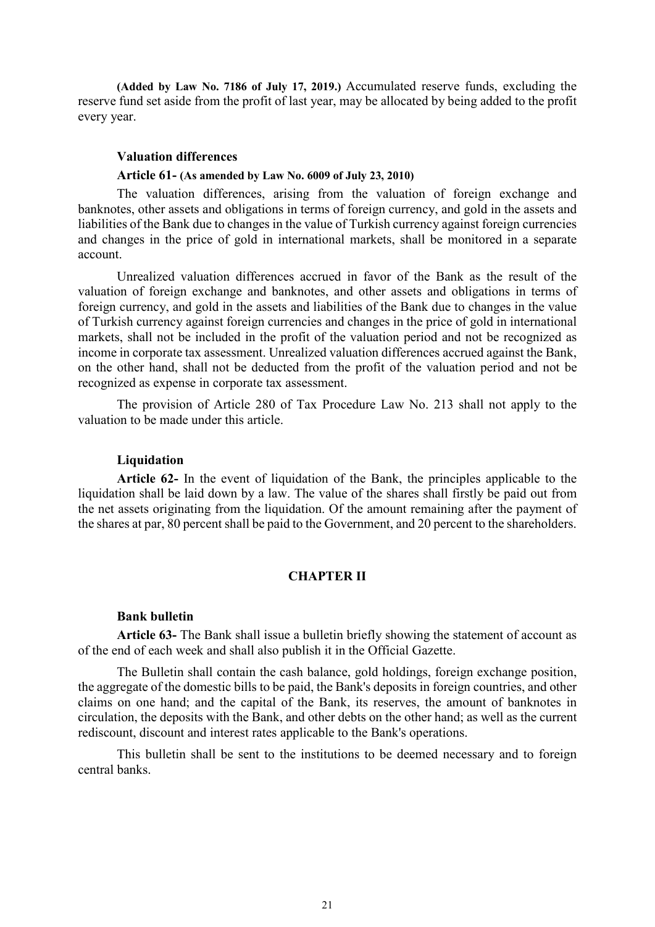**(Added by Law No. 7186 of July 17, 2019.)** Accumulated reserve funds, excluding the reserve fund set aside from the profit of last year, may be allocated by being added to the profit every year.

### **Valuation differences**

## **Article 61- (As amended by Law No. 6009 of July 23, 2010)**

The valuation differences, arising from the valuation of foreign exchange and banknotes, other assets and obligations in terms of foreign currency, and gold in the assets and liabilities of the Bank due to changes in the value of Turkish currency against foreign currencies and changes in the price of gold in international markets, shall be monitored in a separate account.

Unrealized valuation differences accrued in favor of the Bank as the result of the valuation of foreign exchange and banknotes, and other assets and obligations in terms of foreign currency, and gold in the assets and liabilities of the Bank due to changes in the value of Turkish currency against foreign currencies and changes in the price of gold in international markets, shall not be included in the profit of the valuation period and not be recognized as income in corporate tax assessment. Unrealized valuation differences accrued against the Bank, on the other hand, shall not be deducted from the profit of the valuation period and not be recognized as expense in corporate tax assessment.

The provision of Article 280 of Tax Procedure Law No. 213 shall not apply to the valuation to be made under this article.

#### **Liquidation**

**Article 62-** In the event of liquidation of the Bank, the principles applicable to the liquidation shall be laid down by a law. The value of the shares shall firstly be paid out from the net assets originating from the liquidation. Of the amount remaining after the payment of the shares at par, 80 percent shall be paid to the Government, and 20 percent to the shareholders.

## **CHAPTER II**

#### **Bank bulletin**

**Article 63-** The Bank shall issue a bulletin briefly showing the statement of account as of the end of each week and shall also publish it in the Official Gazette.

The Bulletin shall contain the cash balance, gold holdings, foreign exchange position, the aggregate of the domestic bills to be paid, the Bank's deposits in foreign countries, and other claims on one hand; and the capital of the Bank, its reserves, the amount of banknotes in circulation, the deposits with the Bank, and other debts on the other hand; as well as the current rediscount, discount and interest rates applicable to the Bank's operations.

This bulletin shall be sent to the institutions to be deemed necessary and to foreign central banks.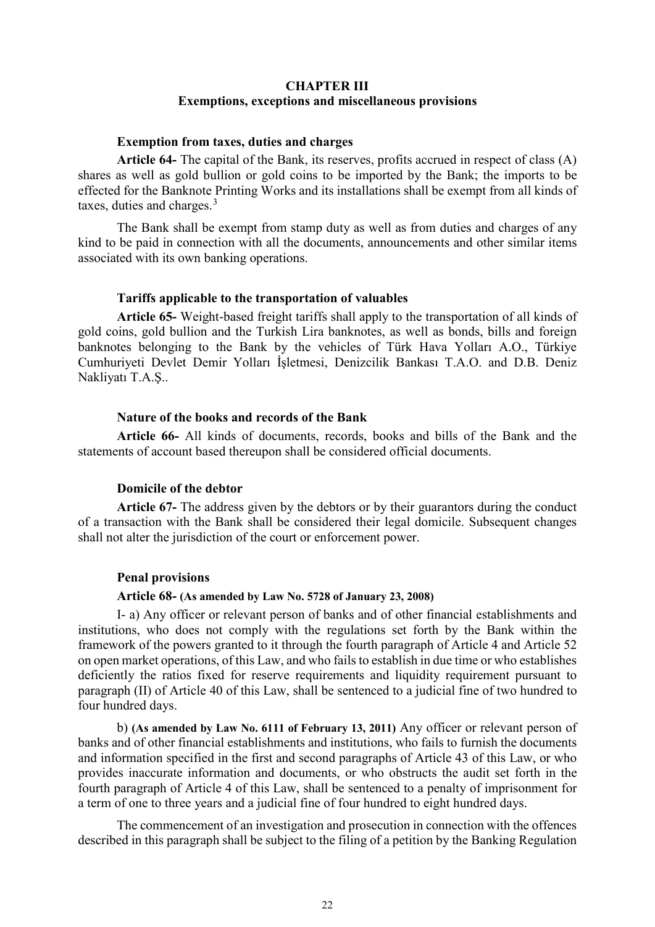# **CHAPTER III Exemptions, exceptions and miscellaneous provisions**

## **Exemption from taxes, duties and charges**

**Article 64-** The capital of the Bank, its reserves, profits accrued in respect of class (A) shares as well as gold bullion or gold coins to be imported by the Bank; the imports to be effected for the Banknote Printing Works and its installations shall be exempt from all kinds of taxes, duties and charges.<sup>[3](#page-27-2)</sup>

The Bank shall be exempt from stamp duty as well as from duties and charges of any kind to be paid in connection with all the documents, announcements and other similar items associated with its own banking operations.

#### **Tariffs applicable to the transportation of valuables**

**Article 65-** Weight-based freight tariffs shall apply to the transportation of all kinds of gold coins, gold bullion and the Turkish Lira banknotes, as well as bonds, bills and foreign banknotes belonging to the Bank by the vehicles of Türk Hava Yolları A.O., Türkiye Cumhuriyeti Devlet Demir Yolları İşletmesi, Denizcilik Bankası T.A.O. and D.B. Deniz Nakliyatı T.A.Ş..

## **Nature of the books and records of the Bank**

**Article 66-** All kinds of documents, records, books and bills of the Bank and the statements of account based thereupon shall be considered official documents.

### **Domicile of the debtor**

**Article 67-** The address given by the debtors or by their guarantors during the conduct of a transaction with the Bank shall be considered their legal domicile. Subsequent changes shall not alter the jurisdiction of the court or enforcement power.

#### **Penal provisions**

### **Article 68- (As amended by Law No. 5728 of January 23, 2008)**

I- a) Any officer or relevant person of banks and of other financial establishments and institutions, who does not comply with the regulations set forth by the Bank within the framework of the powers granted to it through the fourth paragraph of Article 4 and Article 52 on open market operations, of this Law, and who fails to establish in due time or who establishes deficiently the ratios fixed for reserve requirements and liquidity requirement pursuant to paragraph (II) of Article 40 of this Law, shall be sentenced to a judicial fine of two hundred to four hundred days.

b) **(As amended by Law No. 6111 of February 13, 2011)** Any officer or relevant person of banks and of other financial establishments and institutions, who fails to furnish the documents and information specified in the first and second paragraphs of Article 43 of this Law, or who provides inaccurate information and documents, or who obstructs the audit set forth in the fourth paragraph of Article 4 of this Law, shall be sentenced to a penalty of imprisonment for a term of one to three years and a judicial fine of four hundred to eight hundred days.

The commencement of an investigation and prosecution in connection with the offences described in this paragraph shall be subject to the filing of a petition by the Banking Regulation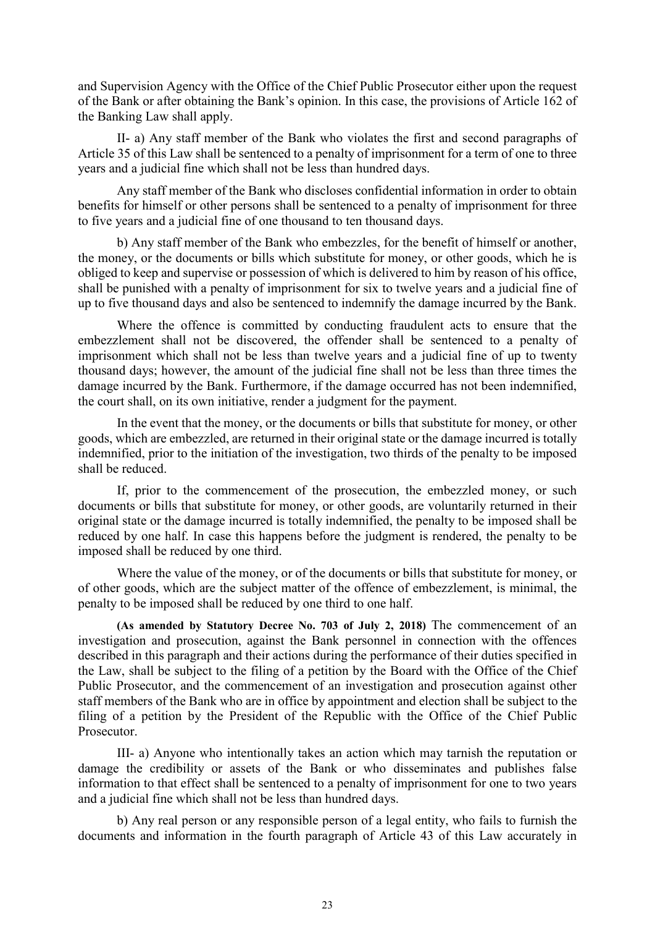and Supervision Agency with the Office of the Chief Public Prosecutor either upon the request of the Bank or after obtaining the Bank's opinion. In this case, the provisions of Article 162 of the Banking Law shall apply.

II- a) Any staff member of the Bank who violates the first and second paragraphs of Article 35 of this Law shall be sentenced to a penalty of imprisonment for a term of one to three years and a judicial fine which shall not be less than hundred days.

Any staff member of the Bank who discloses confidential information in order to obtain benefits for himself or other persons shall be sentenced to a penalty of imprisonment for three to five years and a judicial fine of one thousand to ten thousand days.

b) Any staff member of the Bank who embezzles, for the benefit of himself or another, the money, or the documents or bills which substitute for money, or other goods, which he is obliged to keep and supervise or possession of which is delivered to him by reason of his office, shall be punished with a penalty of imprisonment for six to twelve years and a judicial fine of up to five thousand days and also be sentenced to indemnify the damage incurred by the Bank.

Where the offence is committed by conducting fraudulent acts to ensure that the embezzlement shall not be discovered, the offender shall be sentenced to a penalty of imprisonment which shall not be less than twelve years and a judicial fine of up to twenty thousand days; however, the amount of the judicial fine shall not be less than three times the damage incurred by the Bank. Furthermore, if the damage occurred has not been indemnified, the court shall, on its own initiative, render a judgment for the payment.

In the event that the money, or the documents or bills that substitute for money, or other goods, which are embezzled, are returned in their original state or the damage incurred is totally indemnified, prior to the initiation of the investigation, two thirds of the penalty to be imposed shall be reduced.

If, prior to the commencement of the prosecution, the embezzled money, or such documents or bills that substitute for money, or other goods, are voluntarily returned in their original state or the damage incurred is totally indemnified, the penalty to be imposed shall be reduced by one half. In case this happens before the judgment is rendered, the penalty to be imposed shall be reduced by one third.

Where the value of the money, or of the documents or bills that substitute for money, or of other goods, which are the subject matter of the offence of embezzlement, is minimal, the penalty to be imposed shall be reduced by one third to one half.

**(As amended by Statutory Decree No. 703 of July 2, 2018)** The commencement of an investigation and prosecution, against the Bank personnel in connection with the offences described in this paragraph and their actions during the performance of their duties specified in the Law, shall be subject to the filing of a petition by the Board with the Office of the Chief Public Prosecutor, and the commencement of an investigation and prosecution against other staff members of the Bank who are in office by appointment and election shall be subject to the filing of a petition by the President of the Republic with the Office of the Chief Public Prosecutor.

III- a) Anyone who intentionally takes an action which may tarnish the reputation or damage the credibility or assets of the Bank or who disseminates and publishes false information to that effect shall be sentenced to a penalty of imprisonment for one to two years and a judicial fine which shall not be less than hundred days.

b) Any real person or any responsible person of a legal entity, who fails to furnish the documents and information in the fourth paragraph of Article 43 of this Law accurately in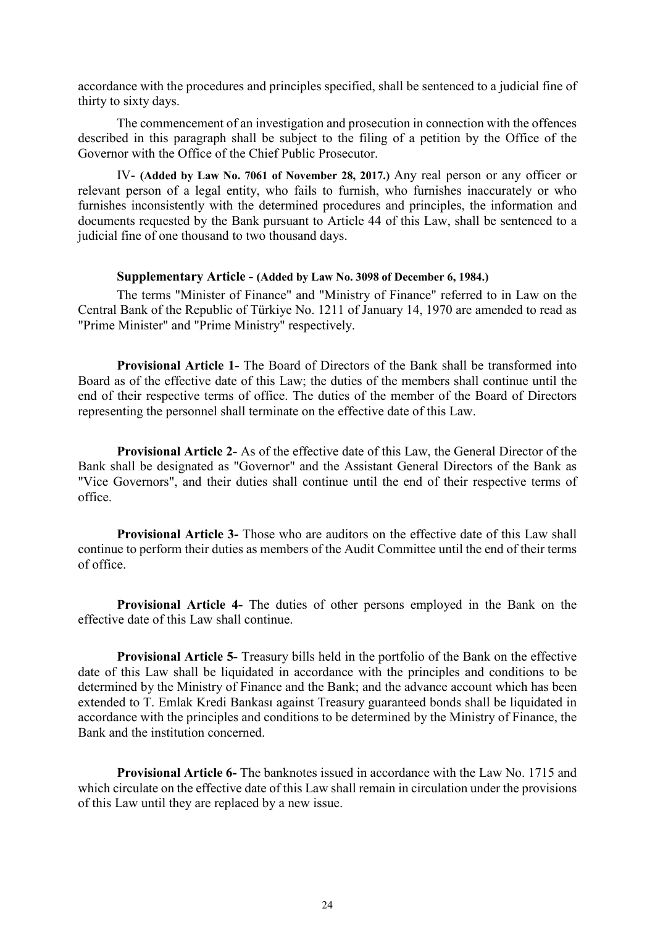accordance with the procedures and principles specified, shall be sentenced to a judicial fine of thirty to sixty days.

The commencement of an investigation and prosecution in connection with the offences described in this paragraph shall be subject to the filing of a petition by the Office of the Governor with the Office of the Chief Public Prosecutor.

IV- **(Added by Law No. 7061 of November 28, 2017.)** Any real person or any officer or relevant person of a legal entity, who fails to furnish, who furnishes inaccurately or who furnishes inconsistently with the determined procedures and principles, the information and documents requested by the Bank pursuant to Article 44 of this Law, shall be sentenced to a judicial fine of one thousand to two thousand days.

## **Supplementary Article - (Added by Law No. 3098 of December 6, 1984.)**

The terms "Minister of Finance" and "Ministry of Finance" referred to in Law on the Central Bank of the Republic of Türkiye No. 1211 of January 14, 1970 are amended to read as "Prime Minister" and "Prime Ministry" respectively.

**Provisional Article 1-** The Board of Directors of the Bank shall be transformed into Board as of the effective date of this Law; the duties of the members shall continue until the end of their respective terms of office. The duties of the member of the Board of Directors representing the personnel shall terminate on the effective date of this Law.

**Provisional Article 2-** As of the effective date of this Law, the General Director of the Bank shall be designated as "Governor" and the Assistant General Directors of the Bank as "Vice Governors", and their duties shall continue until the end of their respective terms of office.

**Provisional Article 3-** Those who are auditors on the effective date of this Law shall continue to perform their duties as members of the Audit Committee until the end of their terms of office.

**Provisional Article 4-** The duties of other persons employed in the Bank on the effective date of this Law shall continue.

**Provisional Article 5-** Treasury bills held in the portfolio of the Bank on the effective date of this Law shall be liquidated in accordance with the principles and conditions to be determined by the Ministry of Finance and the Bank; and the advance account which has been extended to T. Emlak Kredi Bankası against Treasury guaranteed bonds shall be liquidated in accordance with the principles and conditions to be determined by the Ministry of Finance, the Bank and the institution concerned.

**Provisional Article 6-** The banknotes issued in accordance with the Law No. 1715 and which circulate on the effective date of this Law shall remain in circulation under the provisions of this Law until they are replaced by a new issue.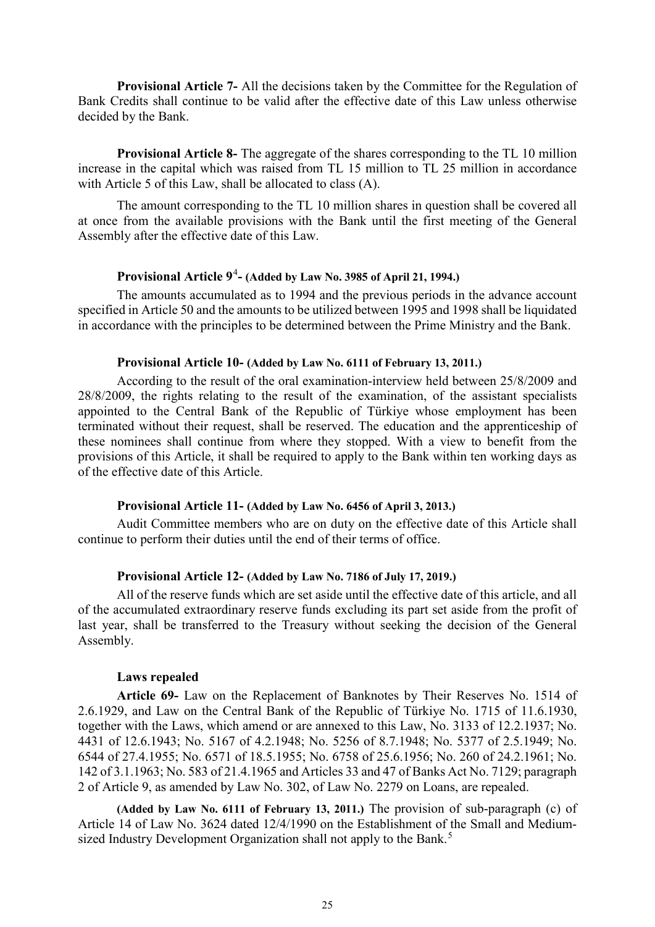**Provisional Article 7-** All the decisions taken by the Committee for the Regulation of Bank Credits shall continue to be valid after the effective date of this Law unless otherwise decided by the Bank.

**Provisional Article 8-** The aggregate of the shares corresponding to the TL 10 million increase in the capital which was raised from TL 15 million to TL 25 million in accordance with Article 5 of this Law, shall be allocated to class (A).

The amount corresponding to the TL 10 million shares in question shall be covered all at once from the available provisions with the Bank until the first meeting of the General Assembly after the effective date of this Law.

## **Provisional Article 9**[4](#page-27-3) **- (Added by Law No. 3985 of April 21, 1994.)**

The amounts accumulated as to 1994 and the previous periods in the advance account specified in Article 50 and the amounts to be utilized between 1995 and 1998 shall be liquidated in accordance with the principles to be determined between the Prime Ministry and the Bank.

## **Provisional Article 10- (Added by Law No. 6111 of February 13, 2011.)**

According to the result of the oral examination-interview held between 25/8/2009 and 28/8/2009, the rights relating to the result of the examination, of the assistant specialists appointed to the Central Bank of the Republic of Türkiye whose employment has been terminated without their request, shall be reserved. The education and the apprenticeship of these nominees shall continue from where they stopped. With a view to benefit from the provisions of this Article, it shall be required to apply to the Bank within ten working days as of the effective date of this Article.

## **Provisional Article 11- (Added by Law No. 6456 of April 3, 2013.)**

Audit Committee members who are on duty on the effective date of this Article shall continue to perform their duties until the end of their terms of office.

## **Provisional Article 12- (Added by Law No. 7186 of July 17, 2019.)**

All of the reserve funds which are set aside until the effective date of this article, and all of the accumulated extraordinary reserve funds excluding its part set aside from the profit of last year, shall be transferred to the Treasury without seeking the decision of the General Assembly.

## **Laws repealed**

**Article 69-** Law on the Replacement of Banknotes by Their Reserves No. 1514 of 2.6.1929, and Law on the Central Bank of the Republic of Türkiye No. 1715 of 11.6.1930, together with the Laws, which amend or are annexed to this Law, No. 3133 of 12.2.1937; No. 4431 of 12.6.1943; No. 5167 of 4.2.1948; No. 5256 of 8.7.1948; No. 5377 of 2.5.1949; No. 6544 of 27.4.1955; No. 6571 of 18.5.1955; No. 6758 of 25.6.1956; No. 260 of 24.2.1961; No. 142 of 3.1.1963; No. 583 of 21.4.1965 and Articles 33 and 47 of Banks Act No. 7129; paragraph 2 of Article 9, as amended by Law No. 302, of Law No. 2279 on Loans, are repealed.

**(Added by Law No. 6111 of February 13, 2011.)** The provision of sub-paragraph (c) of Article 14 of Law No. 3624 dated 12/4/1990 on the Establishment of the Small and Medium-sized Industry Development Organization shall not apply to the Bank.<sup>[5](#page-27-4)</sup>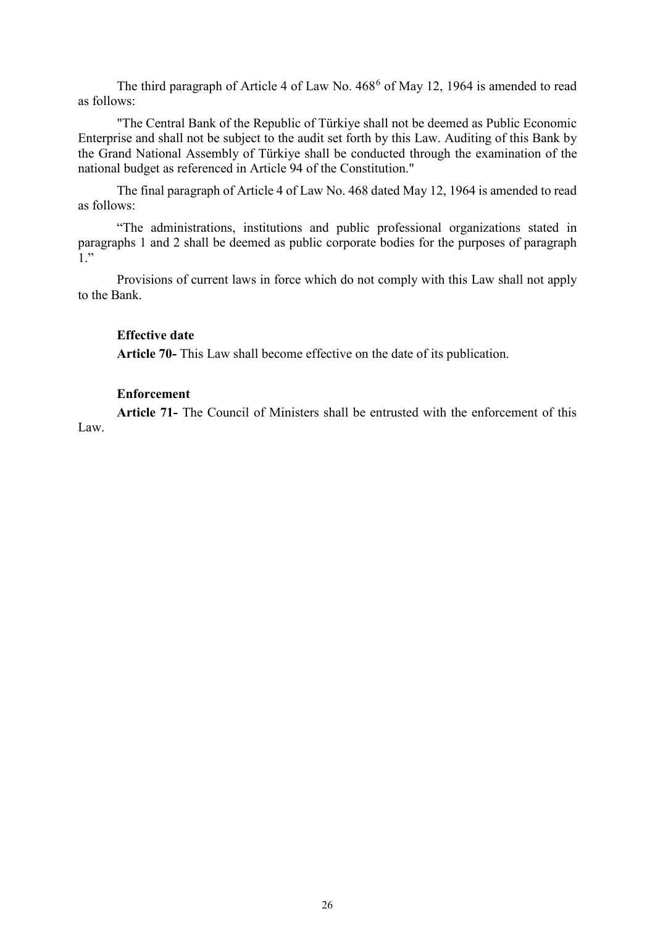The third paragraph of Article 4 of Law No. 4[6](#page-27-5)8<sup>6</sup> of May 12, 1964 is amended to read as follows:

"The Central Bank of the Republic of Türkiye shall not be deemed as Public Economic Enterprise and shall not be subject to the audit set forth by this Law. Auditing of this Bank by the Grand National Assembly of Türkiye shall be conducted through the examination of the national budget as referenced in Article 94 of the Constitution."

The final paragraph of Article 4 of Law No. 468 dated May 12, 1964 is amended to read as follows:

"The administrations, institutions and public professional organizations stated in paragraphs 1 and 2 shall be deemed as public corporate bodies for the purposes of paragraph 1."

Provisions of current laws in force which do not comply with this Law shall not apply to the Bank.

## **Effective date**

**Article 70-** This Law shall become effective on the date of its publication.

## **Enforcement**

**Article 71-** The Council of Ministers shall be entrusted with the enforcement of this Law.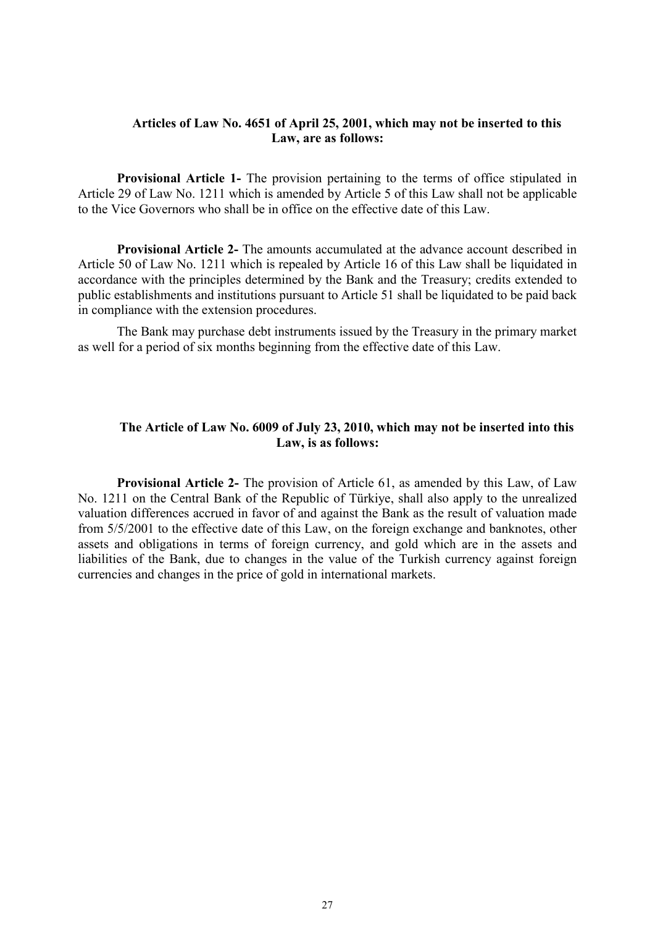## **Articles of Law No. 4651 of April 25, 2001, which may not be inserted to this Law, are as follows:**

**Provisional Article 1-** The provision pertaining to the terms of office stipulated in Article 29 of Law No. 1211 which is amended by Article 5 of this Law shall not be applicable to the Vice Governors who shall be in office on the effective date of this Law.

**Provisional Article 2-** The amounts accumulated at the advance account described in Article 50 of Law No. 1211 which is repealed by Article 16 of this Law shall be liquidated in accordance with the principles determined by the Bank and the Treasury; credits extended to public establishments and institutions pursuant to Article 51 shall be liquidated to be paid back in compliance with the extension procedures.

The Bank may purchase debt instruments issued by the Treasury in the primary market as well for a period of six months beginning from the effective date of this Law.

# **The Article of Law No. 6009 of July 23, 2010, which may not be inserted into this Law, is as follows:**

**Provisional Article 2-** The provision of Article 61, as amended by this Law, of Law No. 1211 on the Central Bank of the Republic of Türkiye, shall also apply to the unrealized valuation differences accrued in favor of and against the Bank as the result of valuation made from 5/5/2001 to the effective date of this Law, on the foreign exchange and banknotes, other assets and obligations in terms of foreign currency, and gold which are in the assets and liabilities of the Bank, due to changes in the value of the Turkish currency against foreign currencies and changes in the price of gold in international markets.